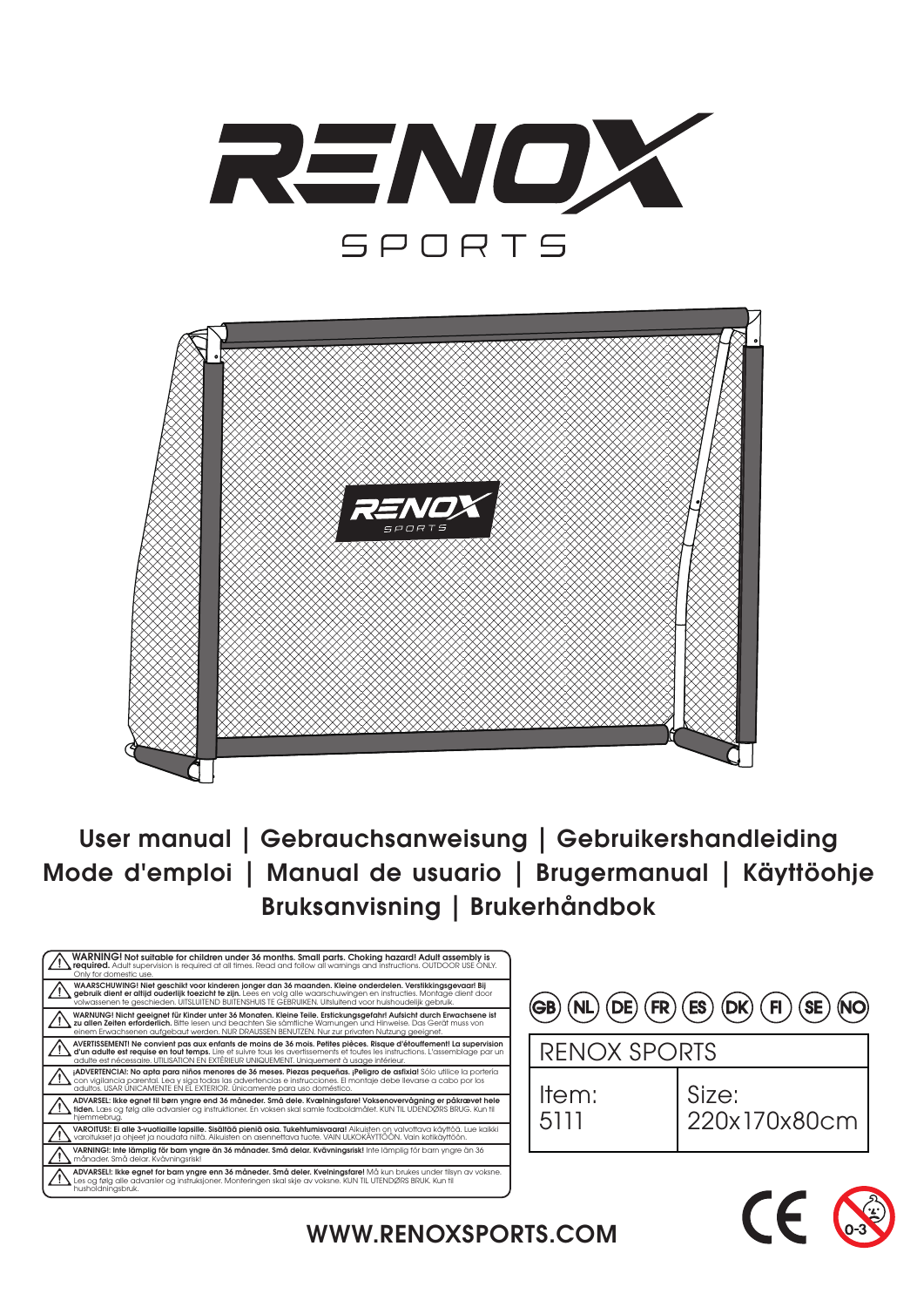



User manual | Gebrauchsanweisung | Gebruikershandleiding Mode d'emploi | Manual de usuario | Brugermanual | Käyttöohje Bruksanvisning | Brukerhåndbok

| WARNING! Not suitable for children under 36 months. Small parts. Choking hazard! Adult assembly is<br><b>required.</b> Adult supervision is required at all times. Read and follow all warnings and instructions. OUTDOOR USE ONLY.<br>Only for domestic use.                                                                                      |                                       |                                             |
|----------------------------------------------------------------------------------------------------------------------------------------------------------------------------------------------------------------------------------------------------------------------------------------------------------------------------------------------------|---------------------------------------|---------------------------------------------|
| WAARSCHUWING! Niet geschikt voor kinderen jonger dan 36 maanden. Kleine onderdelen. Verstikkingsgevaar! Bij<br>gebruik dient er altijd ouderlijk toezicht te zijn. Lees en volg alle waarschuwingen en instructies. Montage dient door<br>volwassenen te geschieden. UITSLUITEND BUITENSHUIS TE GEBRUIKEN. Uitsluitend voor huishoudelijk gebruik. | FR)<br>(DE)<br><b>NL</b><br><b>GB</b> | $\mathsf{(ES)}$<br>(DK)<br>FI<br>SE<br>(NO) |
| WARNUNG! Nicht geeignet für Kinder unter 36 Monaten. Kleine Teile. Erstickungsgefahr! Aufsicht durch Erwachsene ist<br>zu allen Zeiten erforderlich. Bitte lesen und beachten Sie sämtliche Warnungen und Hinweise. Das Gerät muss von<br>einem Erwachsenen aufgebaut werden. NUR DRAUSSEN BENUTZEN. Nur zur privaten Nutzung geeignet.            |                                       |                                             |
| AVERTISSEMENT! Ne convient pas aux enfants de moins de 36 mois. Petites pièces. Risque d'étouffement! La supervision<br>d'un adulte est requise en tout temps. Lire et suivre tous les avertissements et toutes les instructions. L'assemblage par un<br>adulte est nécessaire. UTILISATION EN EXTÉRIEUR UNIQUEMENT. Uniquement à usage intérieur. | <b>RENOX SPORTS</b>                   |                                             |
| ¡ADVERTENCIA!: No apta para niños menores de 36 meses. Piezas pequeñas. ¡Peligro de asfixia! Sólo utilice la portería<br>con vigilancia parental. Lea y siga todas las advertencias e instrucciones. El montaje debe llevarse a cabo por los<br>7 I I<br>adultos. USAR ÚNICAMENTE EN EL EXTERIOR. Únicamente para uso doméstico.                   |                                       | Size:                                       |
| ADVARSEL: Ikke egnet til børn yngre end 36 måneder. Små dele. Kvælningsfare! Voksenovervågning er påkrævet hele<br>tiden. Læs og følg alle advarsler og instruktioner. En voksen skal samle fodboldmålet. KUN TIL UDENDØRS BRUG. Kun til<br>hiemmebrua.                                                                                            | Item:<br>5111                         | 220x170x80cm                                |
| VAROITUS!: Ei alle 3-vuotiaille lapsille. Sisältää pieniä osia. Tukehtumisvaara! Aikuisten on valvottava käyttöä. Lue kaikki<br>varoitukset ja ohjeet ja noudata niitä. Aikuisten on asennettava tuote. VAIN ULKOKÄYTTÖÖN. Vain kotikäyttöön.                                                                                                      |                                       |                                             |
| VARNING!: Inte lämplig för barn yngre än 36 månader. Små delar. Kvävningsrisk! Inte lämplig för barn yngre än 36<br>månader. Små delar. Kvävningsrisk!                                                                                                                                                                                             |                                       |                                             |
| ADVARSELI: Ikke egnet for barn yngre enn 36 måneder. Små deler. Kvelningsfare! Må kun brukes under tilsyn av voksne.<br>Les og følg alle advarsler og instruksjoner. Monteringen skal skje av voksne. KUN TIL UTENDØRS BRUK. Kun til<br>husholdningsbruk.                                                                                          |                                       |                                             |

# WWW.RENOXSPORTS.COM

CE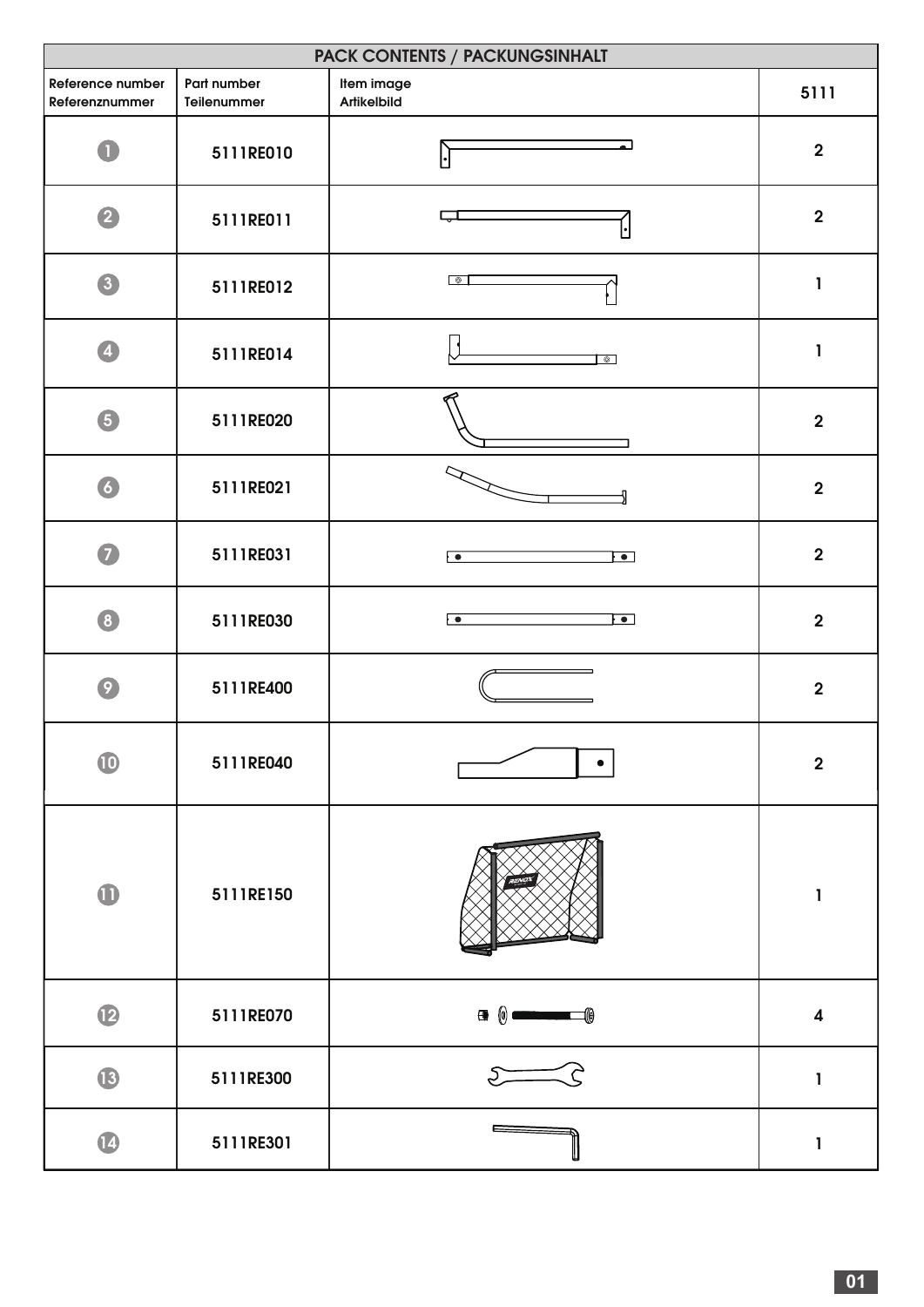| PACK CONTENTS / PACKUNGSINHALT     |                            |                                        |                  |  |
|------------------------------------|----------------------------|----------------------------------------|------------------|--|
| Reference number<br>Referenznummer | Part number<br>Teilenummer | Item image<br>Artikelbild              | 5111             |  |
| O                                  | 5111RE010                  |                                        | $\overline{2}$   |  |
| 2                                  | 5111RE011                  | Ļ.                                     | $\mathbf 2$      |  |
| 3                                  | 5111RE012                  | $\bullet$                              | 1                |  |
| $\overline{\mathbf{A}}$            | 5111RE014                  | $\circ$                                | 1                |  |
| 6                                  | 5111RE020                  |                                        | $\overline{2}$   |  |
| 6                                  | 5111RE021                  |                                        | $\mathbf 2$      |  |
| $\bullet$                          | 5111RE031                  | $\overline{\bullet}$<br>$\blacksquare$ | $\mathbf 2$      |  |
| 3                                  | 5111RE030                  | $\overline{\phantom{a}}$<br>⊦∙         | $\mathbf 2$      |  |
| $\bullet$                          | 5111RE400                  |                                        | $\mathbf 2$      |  |
| $\bf \Phi$                         | 5111RE040                  | $\bullet$                              | $\mathbf 2$      |  |
| $\bf \Phi$                         | 5111RE150                  |                                        | $\mathbf{I}$     |  |
| $\bullet$                          | 5111RE070                  | $\bullet$ 0 $\bullet$ 0 $\bullet$      | $\boldsymbol{4}$ |  |
| $\bigoplus$                        | 5111RE300                  | $\sum$<br>$\leq$ $\in$                 | 1                |  |
| $\bigcirc$                         | 5111RE301                  | E                                      | $\mathbf{I}$     |  |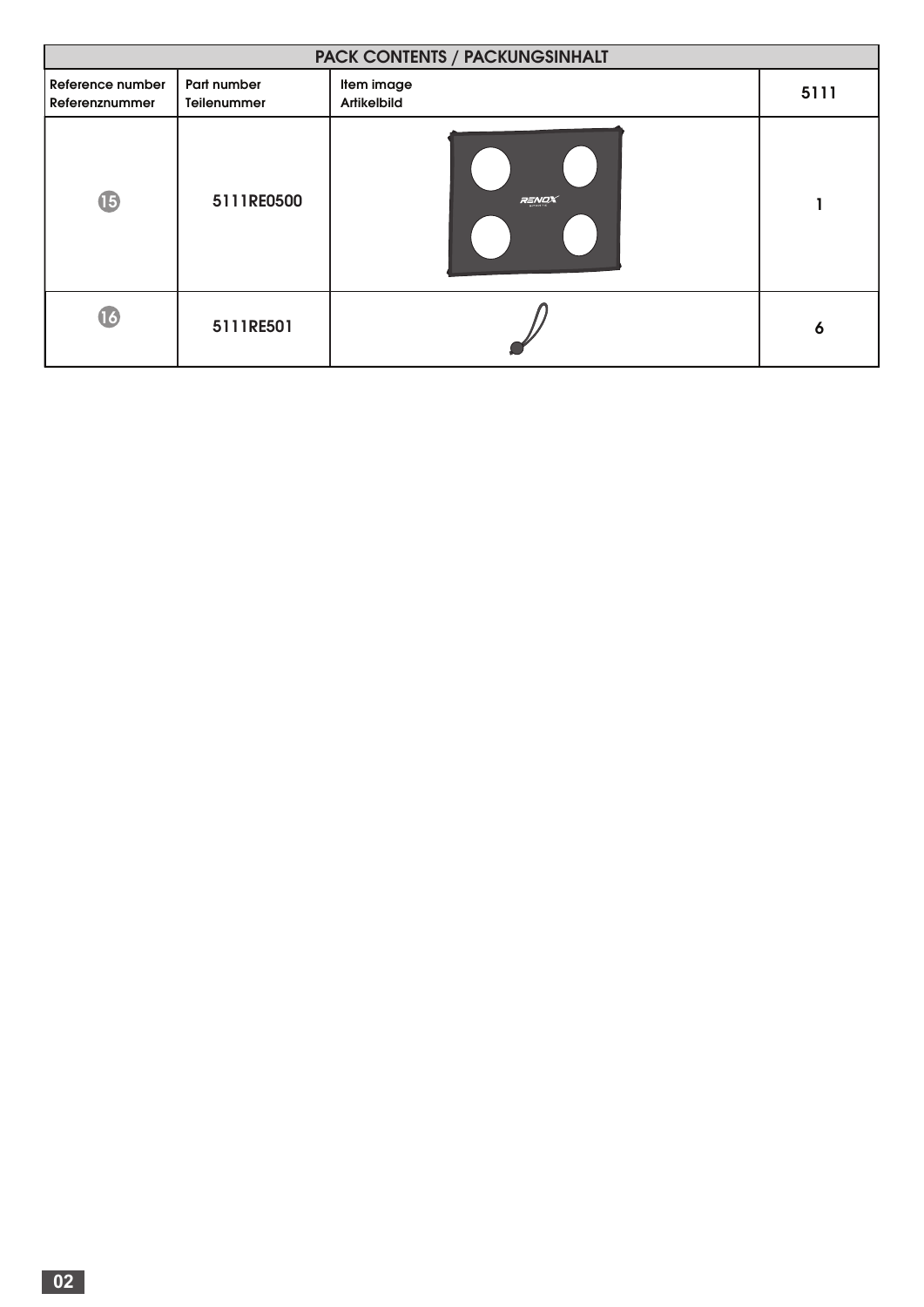| <b>PACK CONTENTS / PACKUNGSINHALT</b> |                            |                                  |      |  |
|---------------------------------------|----------------------------|----------------------------------|------|--|
| Reference number<br>Referenznummer    | Part number<br>Teilenummer | Item image<br><b>Artikelbild</b> | 5111 |  |
| $\mathbf{G}$                          | 5111RE0500                 | RENOX                            |      |  |
| 16                                    | 5111RE501                  |                                  | 6    |  |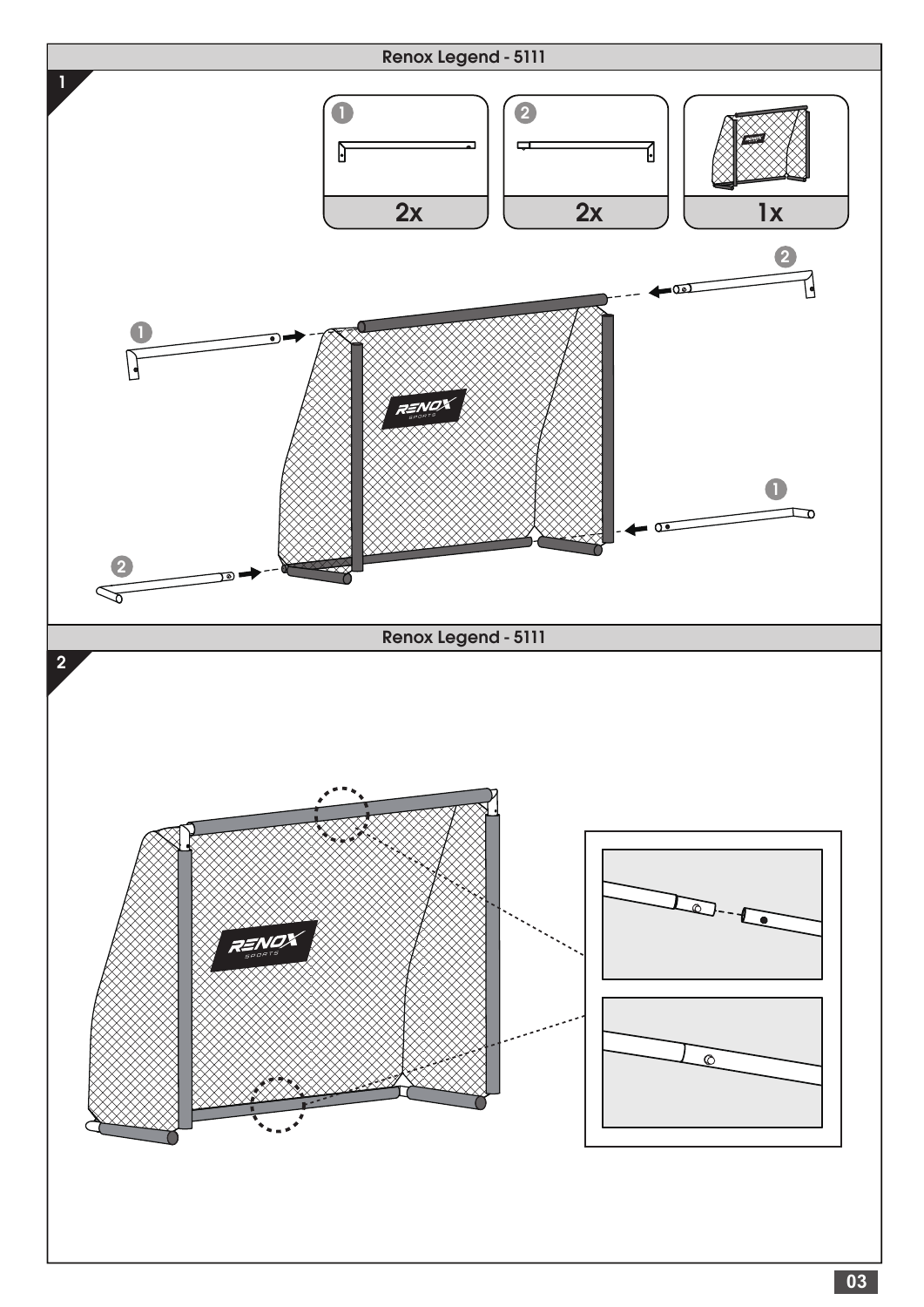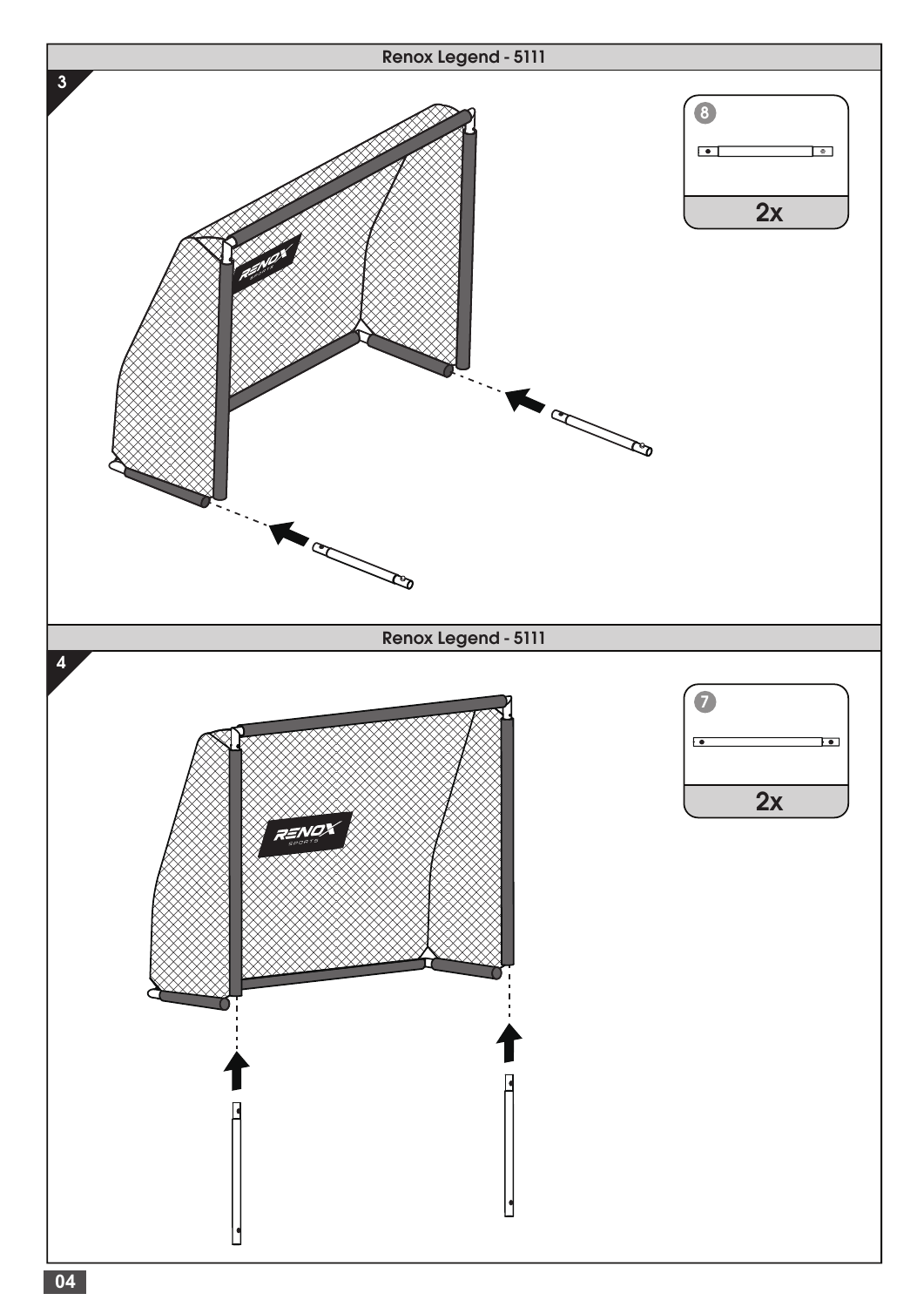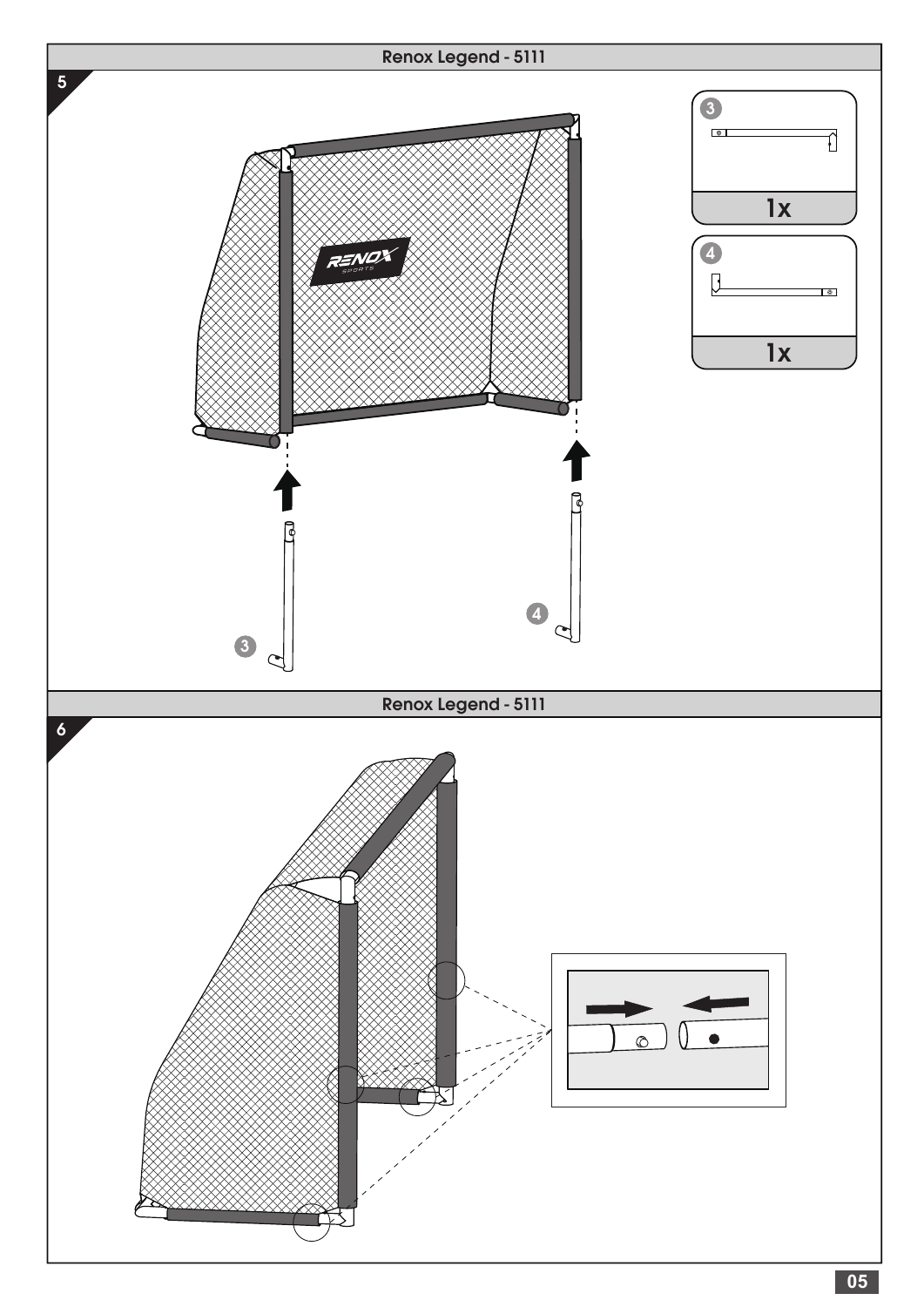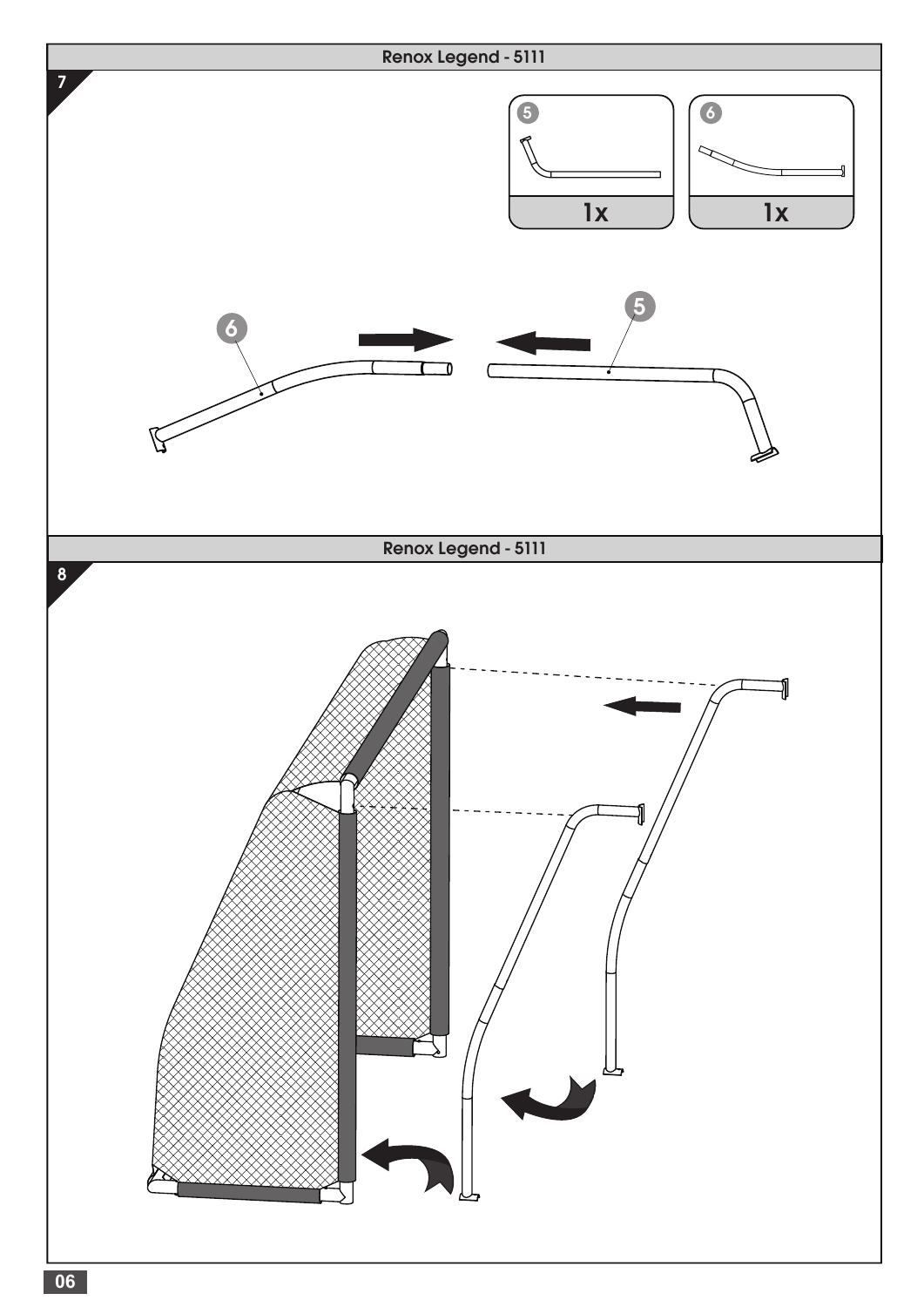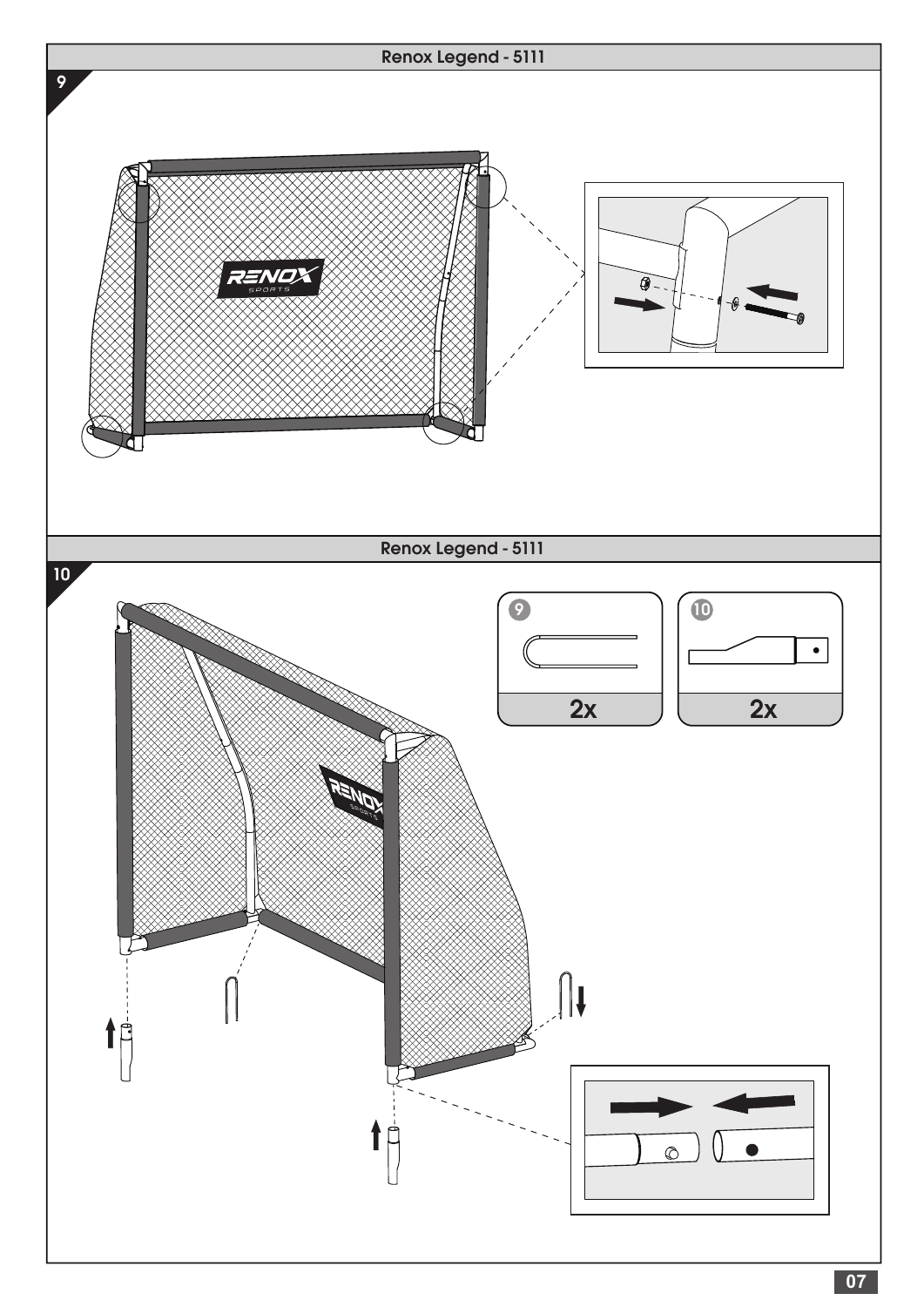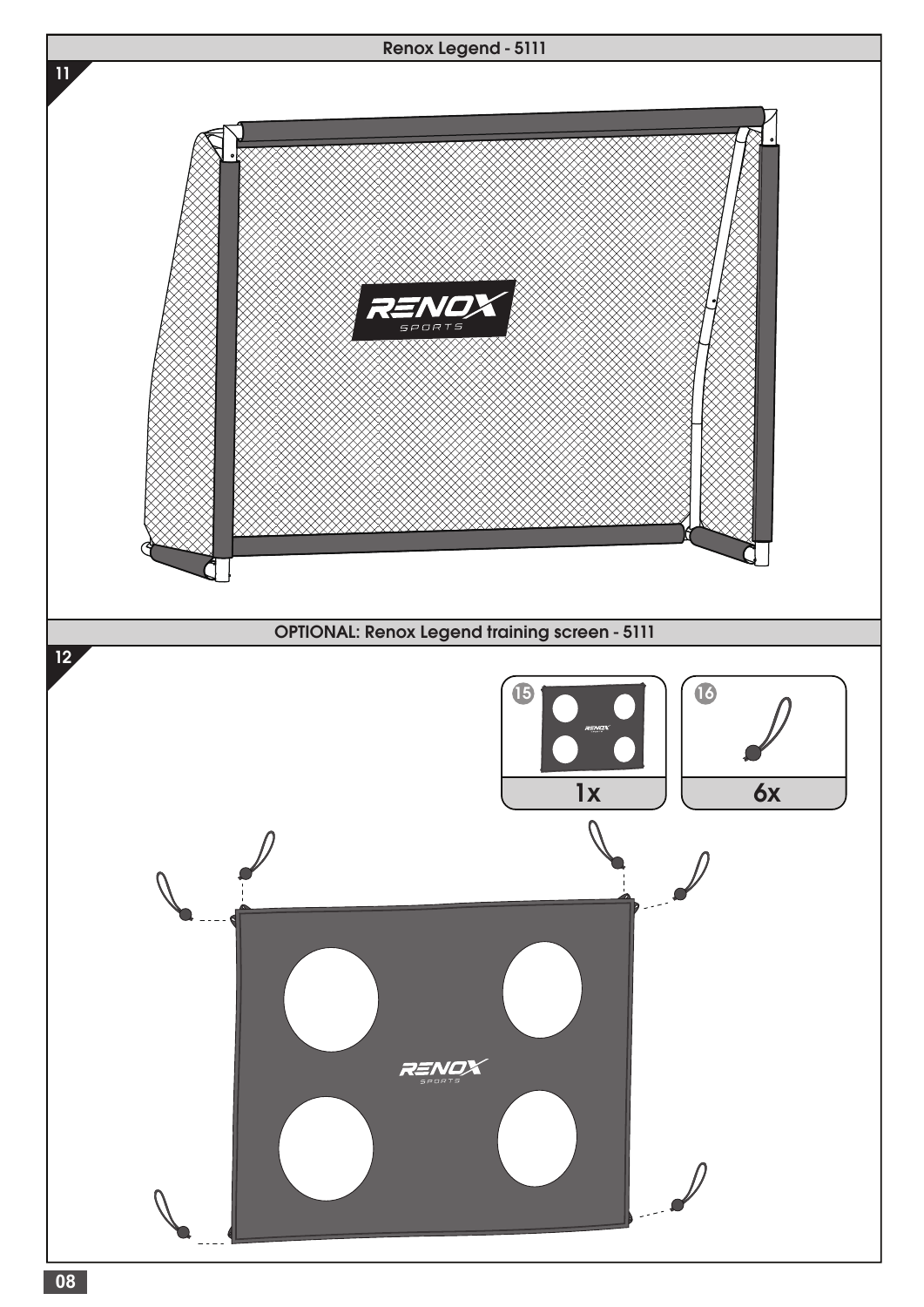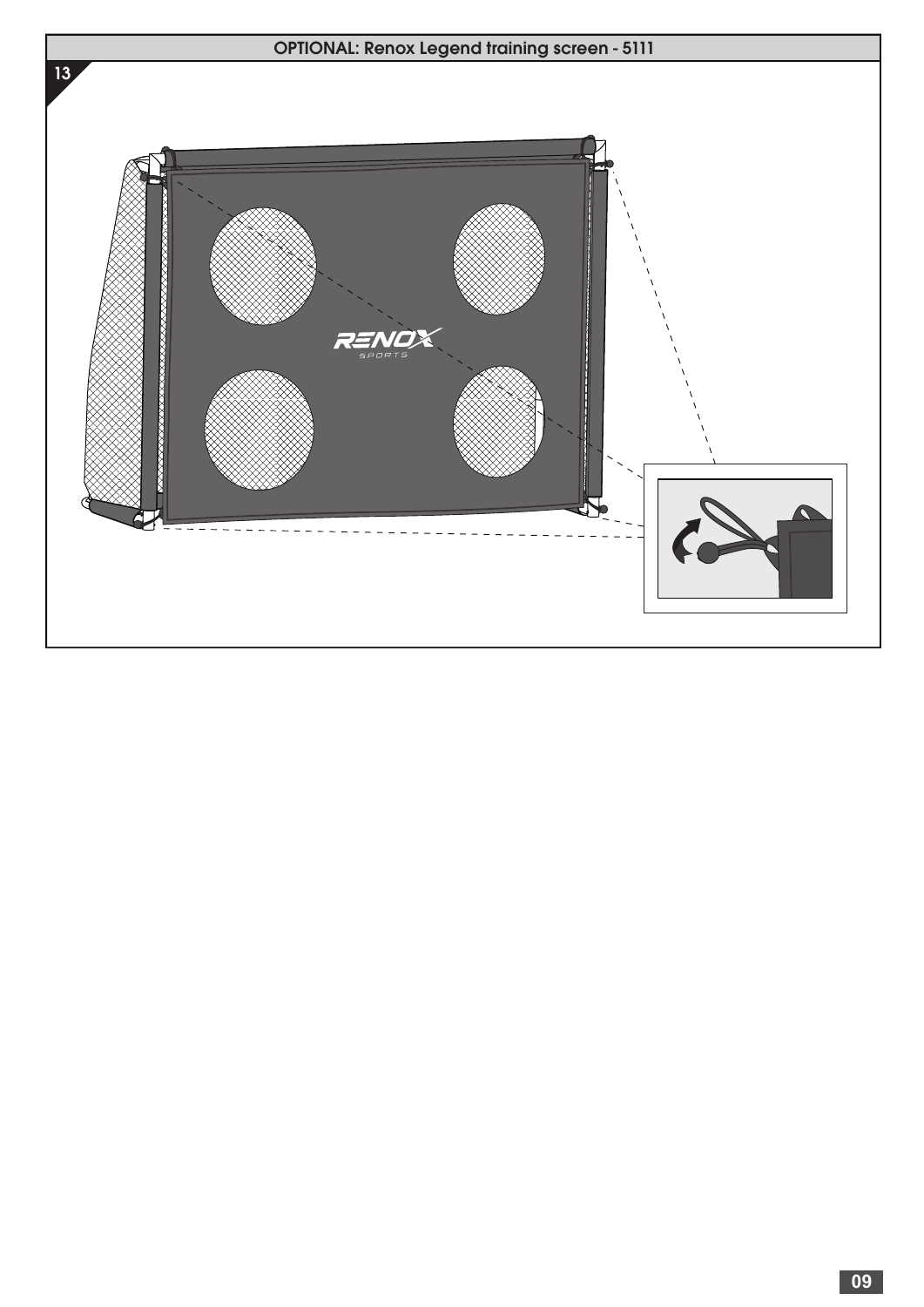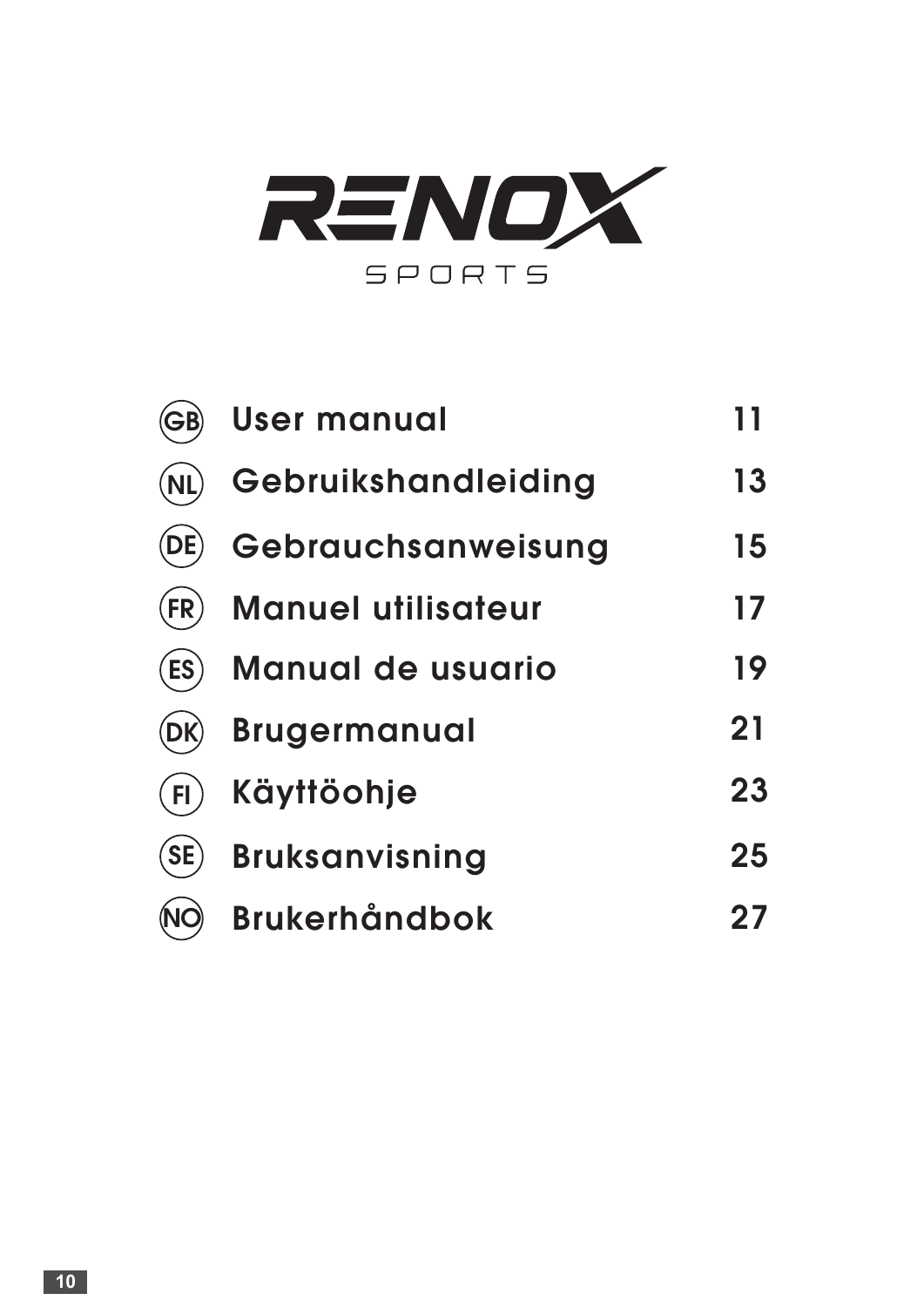

| (GB) | <b>User manual</b>        |    |
|------|---------------------------|----|
|      | Gebruikshandleiding       | 13 |
|      | Gebrauchsanweisung        | 15 |
| (FR) | <b>Manuel utilisateur</b> | 17 |
| (ES) | <b>Manual de usuario</b>  | 19 |
|      | <b>Brugermanual</b>       | 21 |
| FI.  | Käyttöohje                | 23 |
| SE   | <b>Bruksanvisning</b>     | 25 |
|      | <b>Brukerhåndbok</b>      |    |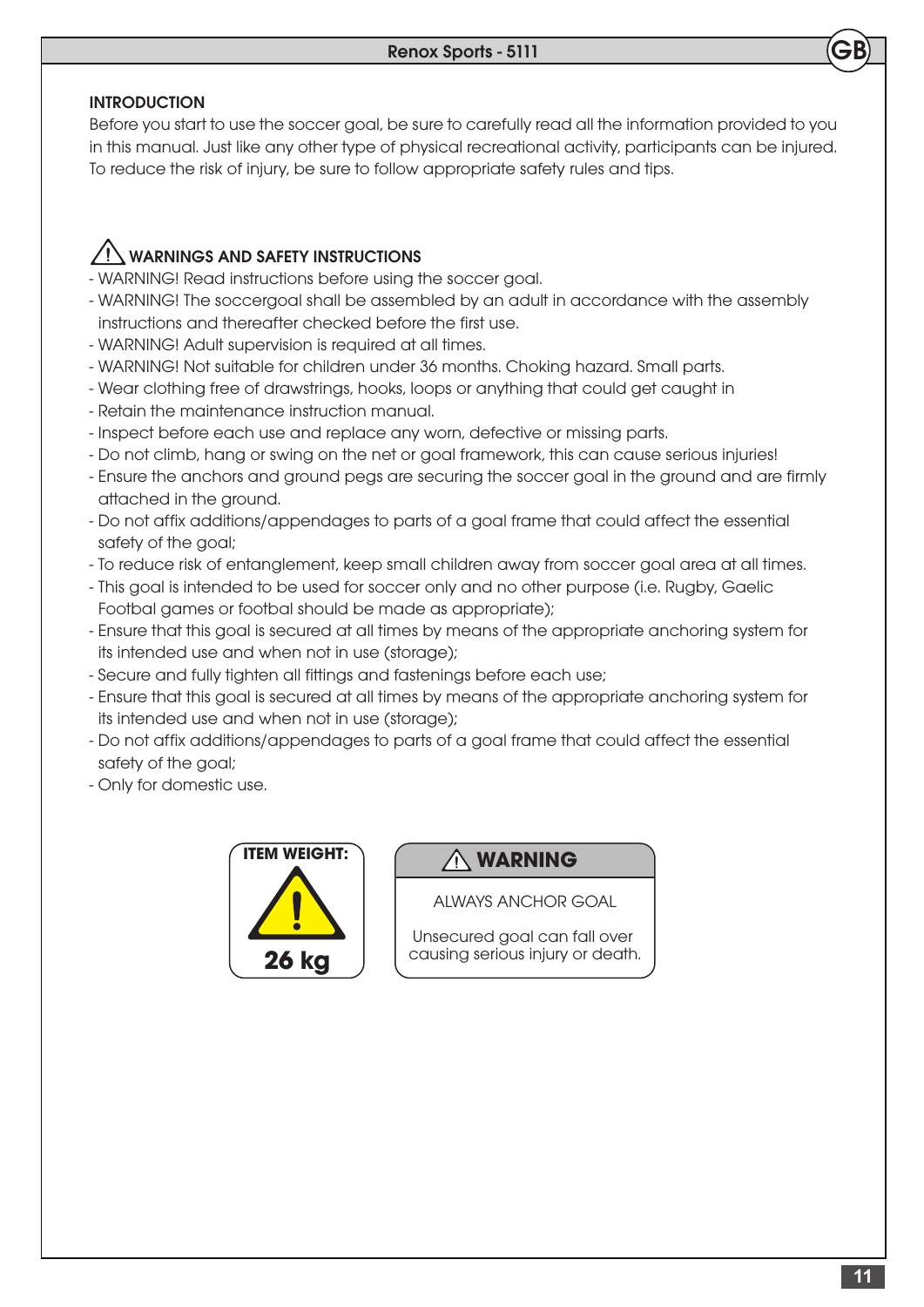#### INTRODUCTION

Before you start to use the soccer goal, be sure to carefully read all the information provided to you in this manual. Just like any other type of physical recreational activity, participants can be injured. To reduce the risk of injury, be sure to follow appropriate safety rules and tips.

## WARNINGS AND SAFETY INSTRUCTIONS

- WARNING! Read instructions before using the soccer goal.
- WARNING! The soccergoal shall be assembled by an adult in accordance with the assembly instructions and thereafter checked before the first use.
- WARNING! Adult supervision is required at all times.
- WARNING! Not suitable for children under 36 months. Choking hazard. Small parts.
- Wear clothing free of drawstrings, hooks, loops or anything that could get caught in
- Retain the maintenance instruction manual.
- Inspect before each use and replace any worn, defective or missing parts.
- Do not climb, hang or swing on the net or goal framework, this can cause serious injuries!
- Ensure the anchors and ground pegs are securing the soccer goal in the ground and are firmly attached in the ground.
- Do not affix additions/appendages to parts of a goal frame that could affect the essential safety of the goal;
- To reduce risk of entanglement, keep small children away from soccer goal area at all times.
- This goal is intended to be used for soccer only and no other purpose (i.e. Rugby, Gaelic Footbal games or footbal should be made as appropriate);
- Ensure that this goal is secured at all times by means of the appropriate anchoring system for its intended use and when not in use (storage);
- Secure and fully tighten all fittings and fastenings before each use;
- Ensure that this goal is secured at all times by means of the appropriate anchoring system for its intended use and when not in use (storage);
- Do not affix additions/appendages to parts of a goal frame that could affect the essential safety of the goal;
- Only for domestic use.



**ITEM WEIGHT: WARNING**

ALWAYS ANCHOR GOAL

Unsecured goal can fall over causing serious injury or death.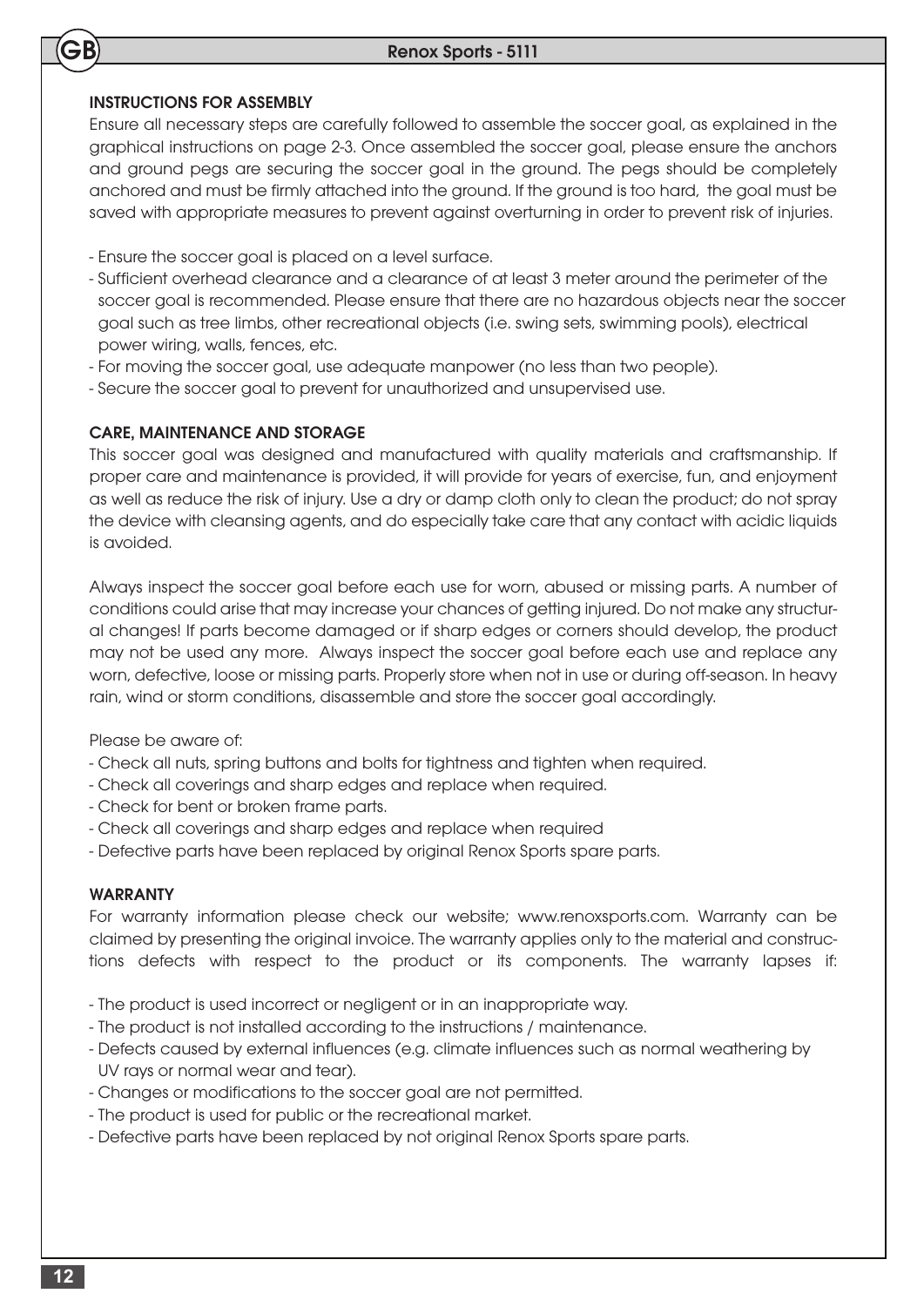#### INSTRUCTIONS FOR ASSEMBLY

GB

Ensure all necessary steps are carefully followed to assemble the soccer goal, as explained in the graphical instructions on page 2-3. Once assembled the soccer goal, please ensure the anchors and ground pegs are securing the soccer goal in the ground. The pegs should be completely anchored and must be firmly attached into the ground. If the ground is too hard, the goal must be saved with appropriate measures to prevent against overturning in order to prevent risk of injuries.

- Ensure the soccer goal is placed on a level surface.
- Sufficient overhead clearance and a clearance of at least 3 meter around the perimeter of the soccer goal is recommended. Please ensure that there are no hazardous objects near the soccer goal such as tree limbs, other recreational objects (i.e. swing sets, swimming pools), electrical power wiring, walls, fences, etc.
- For moving the soccer goal, use adequate manpower (no less than two people).
- Secure the soccer goal to prevent for unauthorized and unsupervised use.

#### CARE, MAINTENANCE AND STORAGE

This soccer goal was designed and manufactured with quality materials and craftsmanship. If proper care and maintenance is provided, it will provide for years of exercise, fun, and enjoyment as well as reduce the risk of injury. Use a dry or damp cloth only to clean the product; do not spray the device with cleansing agents, and do especially take care that any contact with acidic liquids is avoided.

Always inspect the soccer goal before each use for worn, abused or missing parts. A number of conditions could arise that may increase your chances of getting injured. Do not make any structural changes! If parts become damaged or if sharp edges or corners should develop, the product may not be used any more. Always inspect the soccer goal before each use and replace any worn, defective, loose or missing parts. Properly store when not in use or during off-season. In heavy rain, wind or storm conditions, disassemble and store the soccer goal accordingly.

Please be aware of:

- Check all nuts, spring buttons and bolts for tightness and tighten when required.
- Check all coverings and sharp edges and replace when required.
- Check for bent or broken frame parts.
- Check all coverings and sharp edges and replace when required
- Defective parts have been replaced by original Renox Sports spare parts.

#### WARRANTY

For warranty information please check our website; www.renoxsports.com. Warranty can be claimed by presenting the original invoice. The warranty applies only to the material and constructions defects with respect to the product or its components. The warranty lapses if:

- The product is used incorrect or negligent or in an inappropriate way.
- The product is not installed according to the instructions / maintenance.
- Defects caused by external influences (e.g. climate influences such as normal weathering by UV rays or normal wear and tear).
- Changes or modifications to the soccer goal are not permitted.
- The product is used for public or the recreational market.
- Defective parts have been replaced by not original Renox Sports spare parts.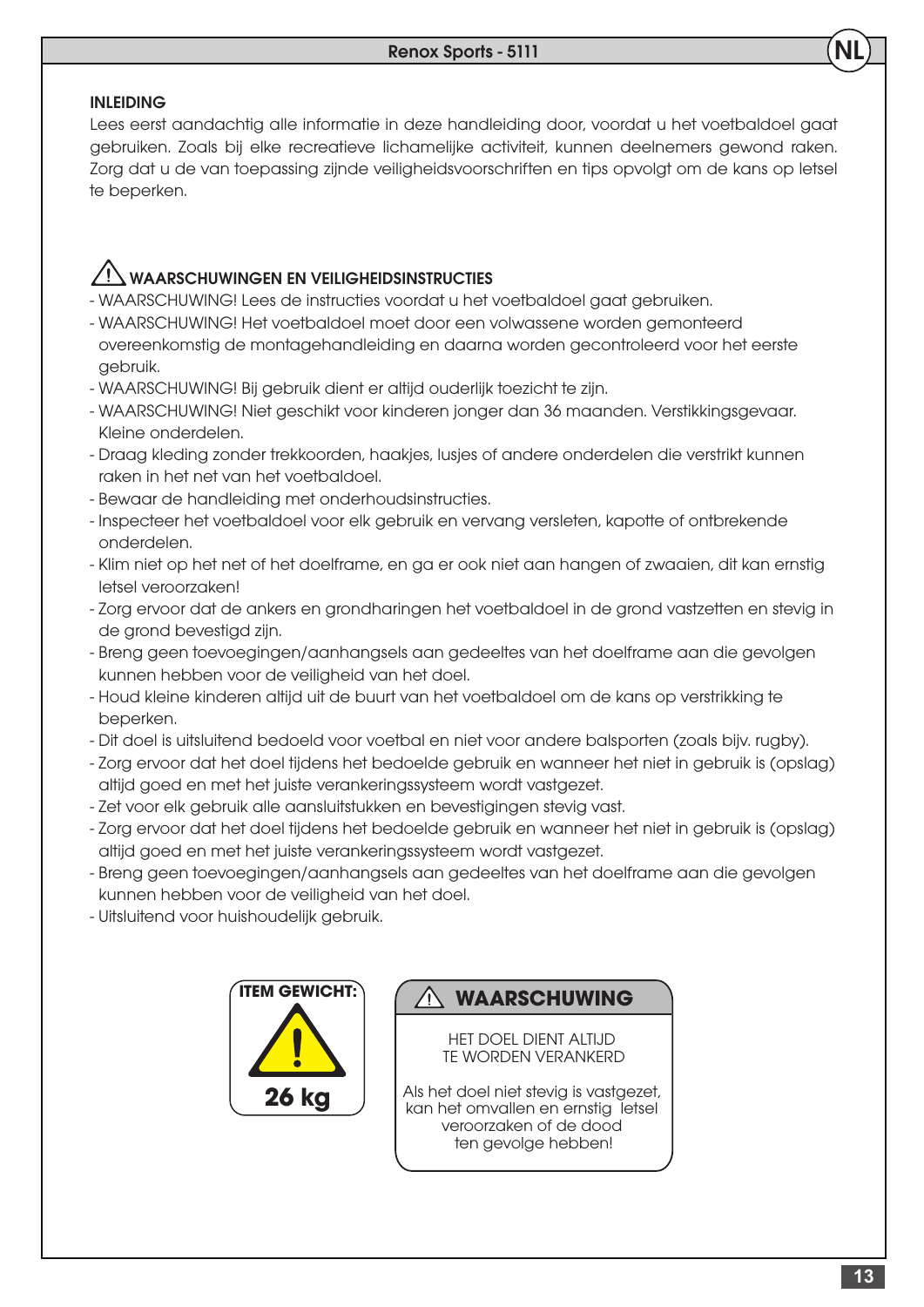#### INI FIDING

Lees eerst aandachtig alle informatie in deze handleiding door, voordat u het voetbaldoel gaat gebruiken. Zoals bij elke recreatieve lichamelijke activiteit, kunnen deelnemers gewond raken. Zorg dat u de van toepassing zijnde veiligheidsvoorschriften en tips opvolgt om de kans op letsel te beperken.

## $\angle$ ! $\searrow$  WAARSCHUWINGEN EN VEILIGHEIDSINSTRUCTIES

- WAARSCHUWING! Lees de instructies voordat u het voetbaldoel gaat gebruiken.

- WAARSCHUWING! Het voetbaldoel moet door een volwassene worden gemonteerd overeenkomstig de montagehandleiding en daarna worden gecontroleerd voor het eerste gebruik.
- WAARSCHUWING! Bij gebruik dient er altijd ouderlijk toezicht te zijn.
- WAARSCHUWING! Niet geschikt voor kinderen jonger dan 36 maanden. Verstikkingsgevaar. Kleine onderdelen.
- Draag kleding zonder trekkoorden, haakjes, lusjes of andere onderdelen die verstrikt kunnen raken in het net van het voetbaldoel.
- Bewaar de handleiding met onderhoudsinstructies.
- Inspecteer het voetbaldoel voor elk gebruik en vervang versleten, kapotte of ontbrekende onderdelen.
- Klim niet op het net of het doelframe, en ga er ook niet aan hangen of zwaaien, dit kan ernstig letsel veroorzaken!
- Zorg ervoor dat de ankers en grondharingen het voetbaldoel in de grond vastzetten en stevig in de grond bevestigd zijn.
- Breng geen toevoegingen/aanhangsels aan gedeeltes van het doelframe aan die gevolgen kunnen hebben voor de veiligheid van het doel.
- Houd kleine kinderen altijd uit de buurt van het voetbaldoel om de kans op verstrikking te beperken.
- Dit doel is uitsluitend bedoeld voor voetbal en niet voor andere balsporten (zoals bijv. rugby).
- Zorg ervoor dat het doel tijdens het bedoelde gebruik en wanneer het niet in gebruik is (opslag) altijd goed en met het juiste verankeringssysteem wordt vastgezet.
- Zet voor elk gebruik alle aansluitstukken en bevestigingen stevig vast.
- Zorg ervoor dat het doel tijdens het bedoelde gebruik en wanneer het niet in gebruik is (opslag) altijd goed en met het juiste verankeringssysteem wordt vastgezet.
- Breng geen toevoegingen/aanhangsels aan gedeeltes van het doelframe aan die gevolgen kunnen hebben voor de veiligheid van het doel.
- Uitsluitend voor huishoudelijk gebruik.



# **ITEM GEWICHT: WAARSCHUWING**

HET DOEL DIENT ALTIJD TE WORDEN VERANKERD

Als het doel niet stevig is vastgezet, kan het omvallen en ernstig letsel veroorzaken of de dood ten gevolge hebben!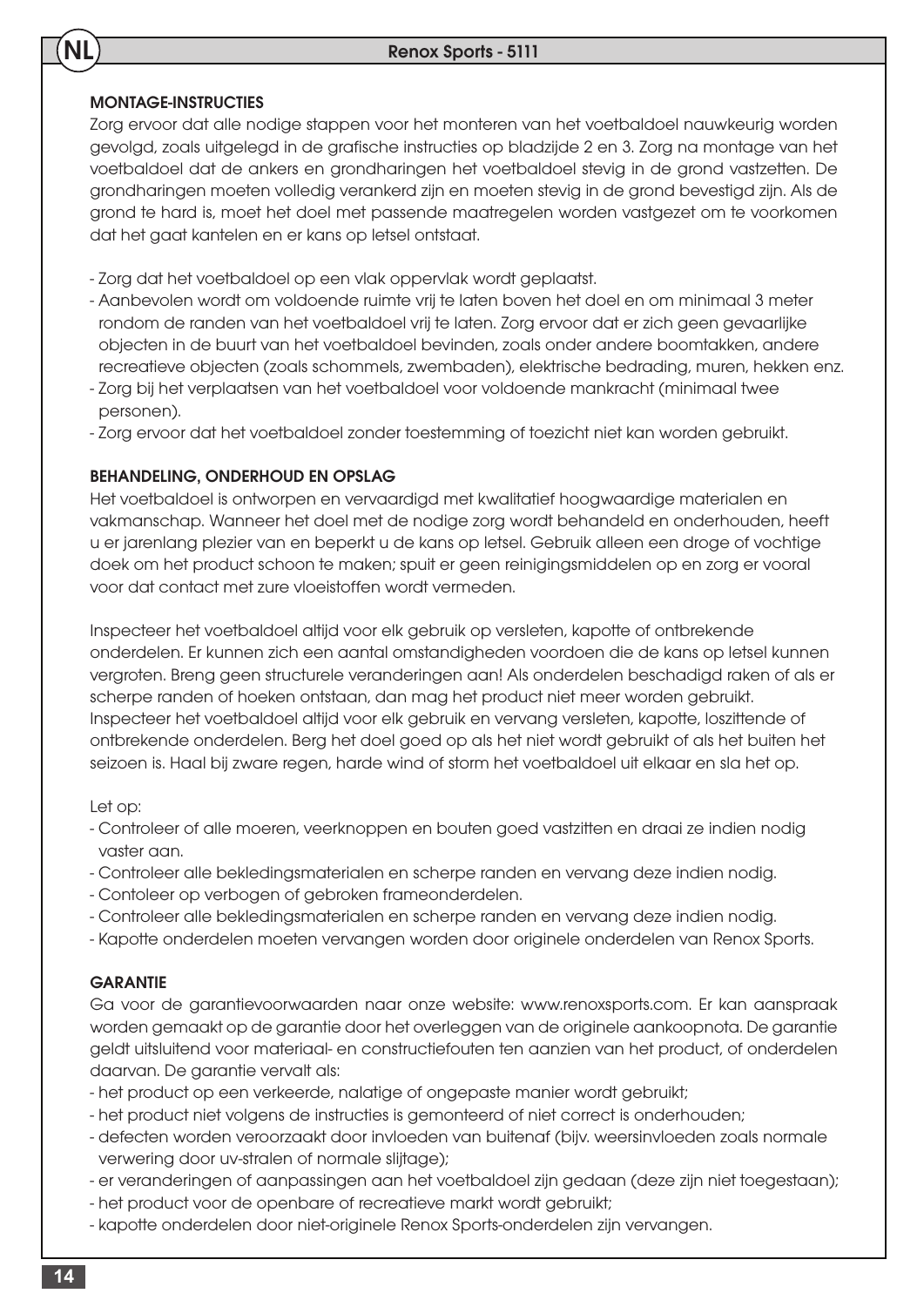#### MONTAGE-INSTRUCTIES

NL

Zorg ervoor dat alle nodige stappen voor het monteren van het voetbaldoel nauwkeurig worden gevolgd, zoals uitgelegd in de grafische instructies op bladzijde 2 en 3. Zorg na montage van het voetbaldoel dat de ankers en grondharingen het voetbaldoel stevig in de grond vastzetten. De grondharingen moeten volledig verankerd zijn en moeten stevig in de grond bevestigd zijn. Als de grond te hard is, moet het doel met passende maatregelen worden vastgezet om te voorkomen dat het gaat kantelen en er kans op letsel ontstaat.

- Zorg dat het voetbaldoel op een vlak oppervlak wordt geplaatst.
- Aanbevolen wordt om voldoende ruimte vrij te laten boven het doel en om minimaal 3 meter rondom de randen van het voetbaldoel vrij te laten. Zorg ervoor dat er zich geen gevaarlijke objecten in de buurt van het voetbaldoel bevinden, zoals onder andere boomtakken, andere recreatieve objecten (zoals schommels, zwembaden), elektrische bedrading, muren, hekken enz.
- Zorg bij het verplaatsen van het voetbaldoel voor voldoende mankracht (minimaal twee personen).
- Zorg ervoor dat het voetbaldoel zonder toestemming of toezicht niet kan worden gebruikt.

#### BEHANDELING, ONDERHOUD EN OPSLAG

Het voetbaldoel is ontworpen en vervaardigd met kwalitatief hoogwaardige materialen en vakmanschap. Wanneer het doel met de nodige zorg wordt behandeld en onderhouden, heeft u er jarenlang plezier van en beperkt u de kans op letsel. Gebruik alleen een droge of vochtige doek om het product schoon te maken; spuit er geen reinigingsmiddelen op en zorg er vooral voor dat contact met zure vloeistoffen wordt vermeden.

Inspecteer het voetbaldoel altijd voor elk gebruik op versleten, kapotte of ontbrekende onderdelen. Er kunnen zich een aantal omstandigheden voordoen die de kans op letsel kunnen vergroten. Breng geen structurele veranderingen aan! Als onderdelen beschadigd raken of als er scherpe randen of hoeken ontstaan, dan mag het product niet meer worden gebruikt. Inspecteer het voetbaldoel altijd voor elk gebruik en vervang versleten, kapotte, loszittende of ontbrekende onderdelen. Berg het doel goed op als het niet wordt gebruikt of als het buiten het seizoen is. Haal bij zware regen, harde wind of storm het voetbaldoel uit elkaar en sla het op.

Let op:

- Controleer of alle moeren, veerknoppen en bouten goed vastzitten en draai ze indien nodig vaster aan.
- Controleer alle bekledingsmaterialen en scherpe randen en vervang deze indien nodig.
- Contoleer op verbogen of gebroken frameonderdelen.
- Controleer alle bekledingsmaterialen en scherpe randen en vervang deze indien nodig.
- Kapotte onderdelen moeten vervangen worden door originele onderdelen van Renox Sports.

#### **GARANTIE**

Ga voor de garantievoorwaarden naar onze website: www.renoxsports.com. Er kan aanspraak worden gemaakt op de garantie door het overleggen van de originele aankoopnota. De garantie geldt uitsluitend voor materiaal- en constructiefouten ten aanzien van het product, of onderdelen daarvan. De garantie vervalt als:

- het product op een verkeerde, nalatige of ongepaste manier wordt gebruikt;
- het product niet volgens de instructies is gemonteerd of niet correct is onderhouden;
- defecten worden veroorzaakt door invloeden van buitenaf (bijv. weersinvloeden zoals normale verwering door uv-stralen of normale slijtage);
- er veranderingen of aanpassingen aan het voetbaldoel zijn gedaan (deze zijn niet toegestaan);
- het product voor de openbare of recreatieve markt wordt gebruikt;
- kapotte onderdelen door niet-originele Renox Sports-onderdelen zijn vervangen.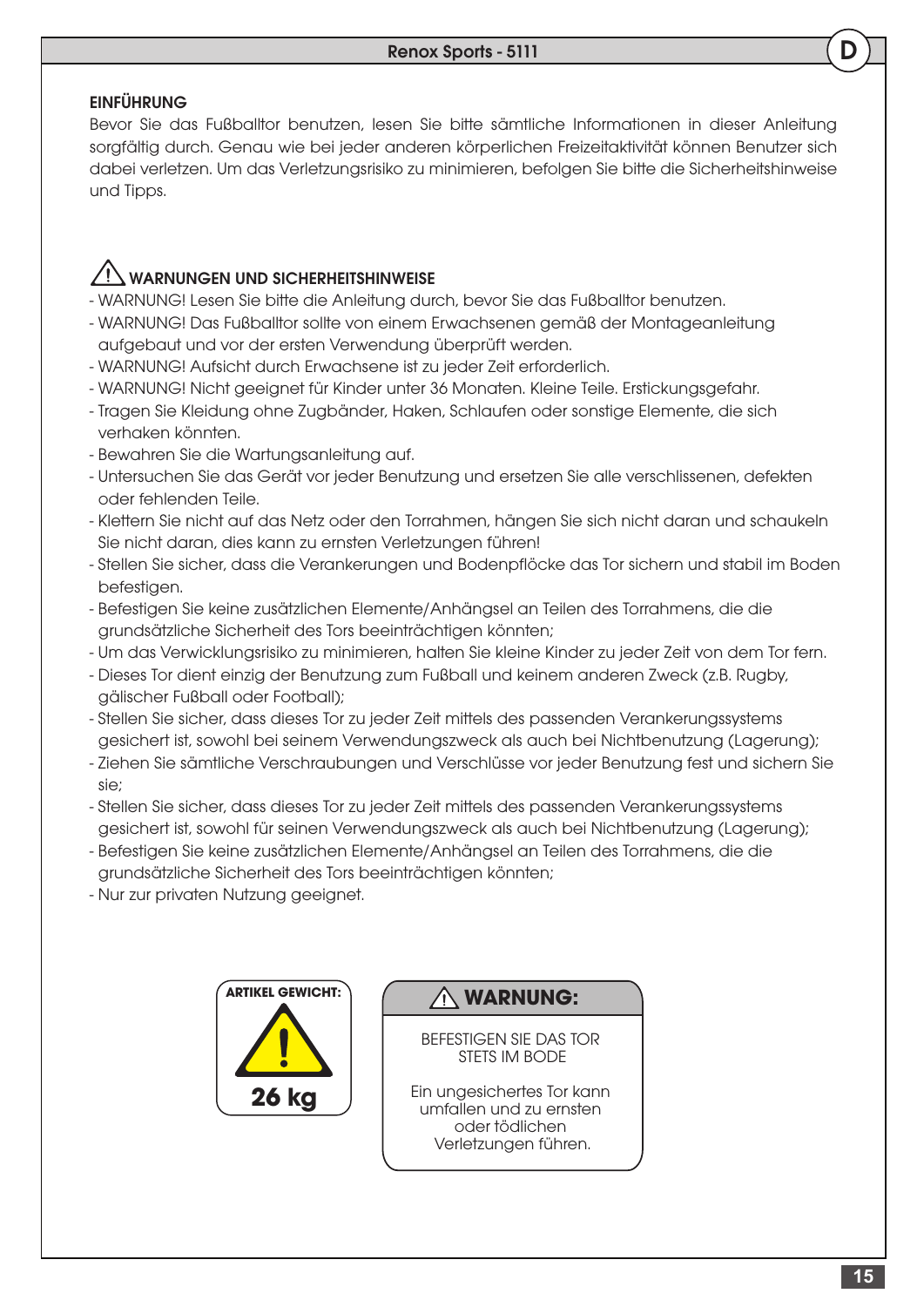### **FINFÜHRUNG**

Bevor Sie das Fußballtor benutzen, lesen Sie bitte sämtliche Informationen in dieser Anleitung sorgfältig durch. Genau wie bei jeder anderen körperlichen Freizeitaktivität können Benutzer sich dabei verletzen. Um das Verletzungsrisiko zu minimieren, befolgen Sie bitte die Sicherheitshinweise und Tipps.

## $\angle$ ! $\searrow$  WARNUNGEN UND SICHERHEITSHINWEISE

- WARNUNG! Lesen Sie bitte die Anleitung durch, bevor Sie das Fußballtor benutzen.
- WARNUNG! Das Fußballtor sollte von einem Erwachsenen gemäß der Montageanleitung aufgebaut und vor der ersten Verwendung überprüft werden.
- WARNUNG! Aufsicht durch Erwachsene ist zu jeder Zeit erforderlich.
- WARNUNG! Nicht geeignet für Kinder unter 36 Monaten. Kleine Teile. Erstickungsgefahr.
- Tragen Sie Kleidung ohne Zugbänder, Haken, Schlaufen oder sonstige Elemente, die sich verhaken könnten.
- Bewahren Sie die Wartungsanleitung auf.
- Untersuchen Sie das Gerät vor jeder Benutzung und ersetzen Sie alle verschlissenen, defekten oder fehlenden Teile.
- Klettern Sie nicht auf das Netz oder den Torrahmen, hängen Sie sich nicht daran und schaukeln Sie nicht daran, dies kann zu ernsten Verletzungen führen!
- Stellen Sie sicher, dass die Verankerungen und Bodenpflöcke das Tor sichern und stabil im Boden befestigen.
- Befestigen Sie keine zusätzlichen Elemente/Anhängsel an Teilen des Torrahmens, die die grundsätzliche Sicherheit des Tors beeinträchtigen könnten;
- Um das Verwicklungsrisiko zu minimieren, halten Sie kleine Kinder zu jeder Zeit von dem Tor fern.
- Dieses Tor dient einzig der Benutzung zum Fußball und keinem anderen Zweck (z.B. Rugby, gälischer Fußball oder Football);
- Stellen Sie sicher, dass dieses Tor zu jeder Zeit mittels des passenden Verankerungssystems gesichert ist, sowohl bei seinem Verwendungszweck als auch bei Nichtbenutzung (Lagerung);
- Ziehen Sie sämtliche Verschraubungen und Verschlüsse vor jeder Benutzung fest und sichern Sie sie;
- Stellen Sie sicher, dass dieses Tor zu jeder Zeit mittels des passenden Verankerungssystems gesichert ist, sowohl für seinen Verwendungszweck als auch bei Nichtbenutzung (Lagerung);
- Befestigen Sie keine zusätzlichen Elemente/Anhängsel an Teilen des Torrahmens, die die grundsätzliche Sicherheit des Tors beeinträchtigen könnten;
- Nur zur privaten Nutzung geeignet.



## **WARNUNG:**

BEFESTIGEN SIE DAS TOR STETS IM BODE

Ein ungesichertes Tor kann umfallen und zu ernsten oder tödlichen Verletzungen führen.

D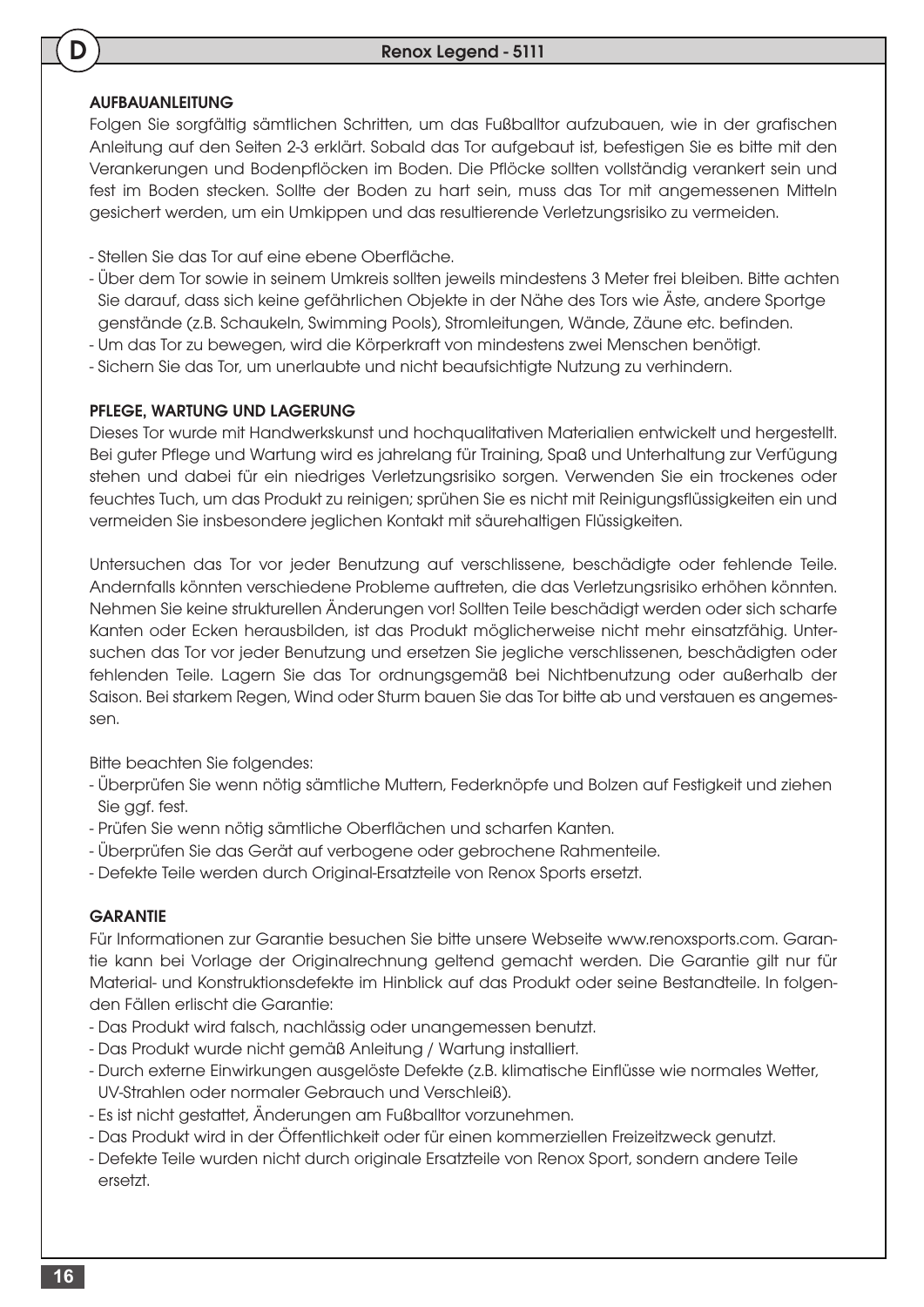#### AUFBAUANLEITUNG

D

Folgen Sie sorgfältig sämtlichen Schritten, um das Fußballtor aufzubauen, wie in der grafischen Anleitung auf den Seiten 2-3 erklärt. Sobald das Tor aufgebaut ist, befestigen Sie es bitte mit den Verankerungen und Bodenpflöcken im Boden. Die Pflöcke sollten vollständig verankert sein und fest im Boden stecken. Sollte der Boden zu hart sein, muss das Tor mit angemessenen Mitteln gesichert werden, um ein Umkippen und das resultierende Verletzungsrisiko zu vermeiden.

- Stellen Sie das Tor auf eine ebene Oberfläche.
- Über dem Tor sowie in seinem Umkreis sollten jeweils mindestens 3 Meter frei bleiben. Bitte achten Sie darauf, dass sich keine gefährlichen Objekte in der Nähe des Tors wie Äste, andere Sportge genstände (z.B. Schaukeln, Swimming Pools), Stromleitungen, Wände, Zäune etc. befinden.
- Um das Tor zu bewegen, wird die Körperkraft von mindestens zwei Menschen benötigt.
- Sichern Sie das Tor, um unerlaubte und nicht beaufsichtigte Nutzung zu verhindern.

#### PFLEGE, WARTUNG UND LAGERUNG

Dieses Tor wurde mit Handwerkskunst und hochqualitativen Materialien entwickelt und hergestellt. Bei guter Pflege und Wartung wird es jahrelang für Training, Spaß und Unterhaltung zur Verfügung stehen und dabei für ein niedriges Verletzungsrisiko sorgen. Verwenden Sie ein trockenes oder feuchtes Tuch, um das Produkt zu reinigen; sprühen Sie es nicht mit Reinigungsflüssigkeiten ein und vermeiden Sie insbesondere jeglichen Kontakt mit säurehaltigen Flüssigkeiten.

Untersuchen das Tor vor jeder Benutzung auf verschlissene, beschädigte oder fehlende Teile. Andernfalls könnten verschiedene Probleme auftreten, die das Verletzungsrisiko erhöhen könnten. Nehmen Sie keine strukturellen Änderungen vor! Sollten Teile beschädigt werden oder sich scharfe Kanten oder Ecken herausbilden, ist das Produkt möglicherweise nicht mehr einsatzfähig. Untersuchen das Tor vor jeder Benutzung und ersetzen Sie jegliche verschlissenen, beschädigten oder fehlenden Teile. Lagern Sie das Tor ordnungsgemäß bei Nichtbenutzung oder außerhalb der Saison. Bei starkem Regen, Wind oder Sturm bauen Sie das Tor bitte ab und verstauen es angemessen.

Bitte beachten Sie folgendes:

- Überprüfen Sie wenn nötig sämtliche Muttern, Federknöpfe und Bolzen auf Festigkeit und ziehen Sie ggf. fest.
- Prüfen Sie wenn nötig sämtliche Oberflächen und scharfen Kanten.
- Überprüfen Sie das Gerät auf verbogene oder gebrochene Rahmenteile.
- Defekte Teile werden durch Original-Ersatzteile von Renox Sports ersetzt.

#### **GARANTIE**

Für Informationen zur Garantie besuchen Sie bitte unsere Webseite www.renoxsports.com. Garantie kann bei Vorlage der Originalrechnung geltend gemacht werden. Die Garantie gilt nur für Material- und Konstruktionsdefekte im Hinblick auf das Produkt oder seine Bestandteile. In folgenden Fällen erlischt die Garantie:

- Das Produkt wird falsch, nachlässig oder unangemessen benutzt.
- Das Produkt wurde nicht gemäß Anleitung / Wartung installiert.
- Durch externe Einwirkungen ausgelöste Defekte (z.B. klimatische Einflüsse wie normales Wetter, UV-Strahlen oder normaler Gebrauch und Verschleiß).
- Es ist nicht gestattet, Änderungen am Fußballtor vorzunehmen.
- Das Produkt wird in der Öffentlichkeit oder für einen kommerziellen Freizeitzweck genutzt.
- Defekte Teile wurden nicht durch originale Ersatzteile von Renox Sport, sondern andere Teile ersetzt.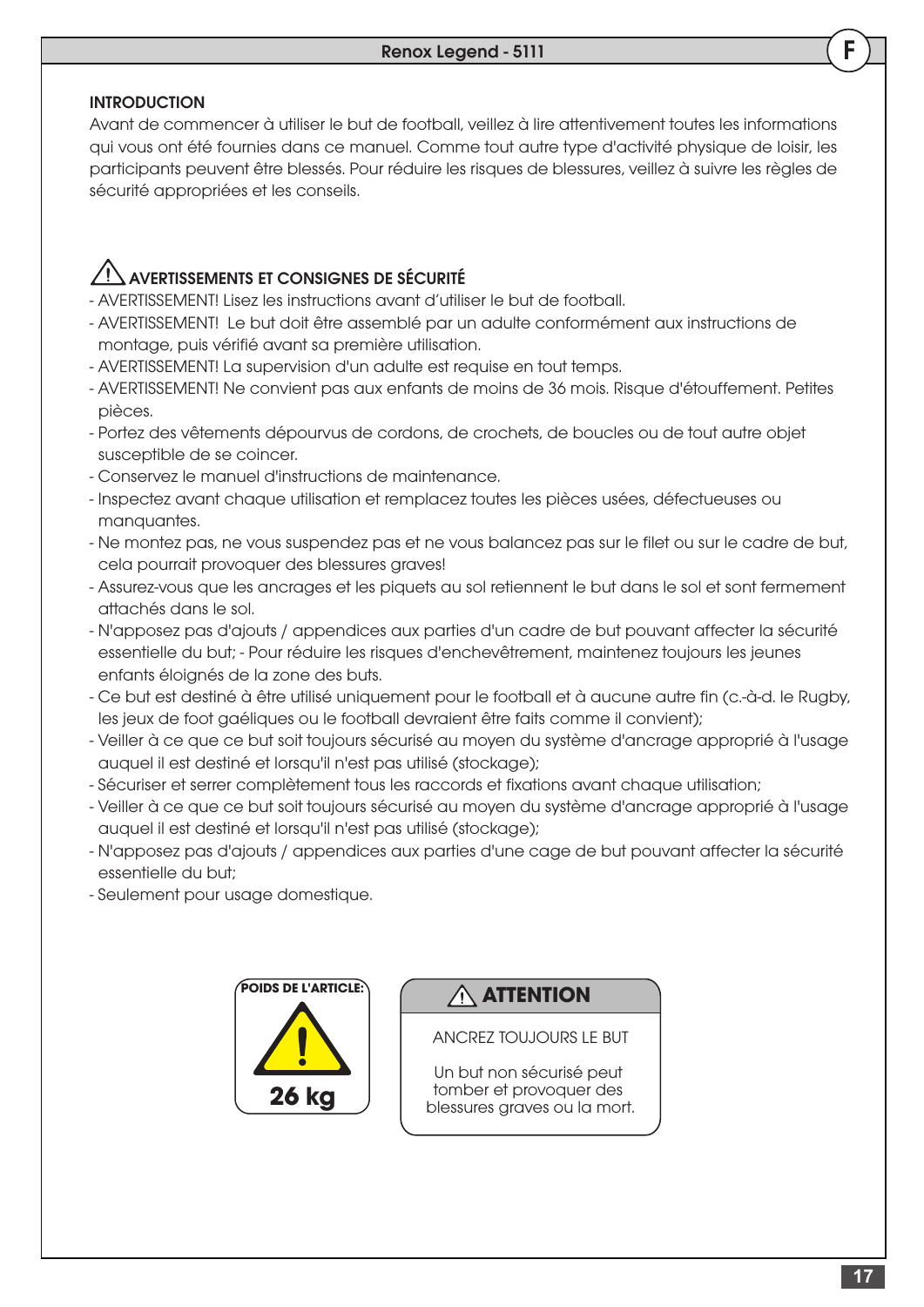#### INTRODUCTION

Avant de commencer à utiliser le but de football, veillez à lire attentivement toutes les informations qui vous ont été fournies dans ce manuel. Comme tout autre type d'activité physique de loisir, les participants peuvent être blessés. Pour réduire les risques de blessures, veillez à suivre les règles de sécurité appropriées et les conseils.

## AVERTISSEMENTS ET CONSIGNES DE SÉCURITÉ

- AVERTISSEMENT! Lisez les instructions avant d'utiliser le but de football.
- AVERTISSEMENT! Le but doit être assemblé par un adulte conformément aux instructions de montage, puis vérifié avant sa première utilisation.
- AVERTISSEMENT! La supervision d'un adulte est requise en tout temps.
- AVERTISSEMENT! Ne convient pas aux enfants de moins de 36 mois. Risque d'étouffement. Petites pièces.
- Portez des vêtements dépourvus de cordons, de crochets, de boucles ou de tout autre objet susceptible de se coincer.
- Conservez le manuel d'instructions de maintenance.
- Inspectez avant chaque utilisation et remplacez toutes les pièces usées, défectueuses ou manquantes.
- Ne montez pas, ne vous suspendez pas et ne vous balancez pas sur le filet ou sur le cadre de but, cela pourrait provoquer des blessures graves!
- Assurez-vous que les ancrages et les piquets au sol retiennent le but dans le sol et sont fermement attachés dans le sol.
- N'apposez pas d'ajouts / appendices aux parties d'un cadre de but pouvant affecter la sécurité essentielle du but; - Pour réduire les risques d'enchevêtrement, maintenez toujours les jeunes enfants éloignés de la zone des buts.
- Ce but est destiné à être utilisé uniquement pour le football et à aucune autre fin (c.-à-d. le Rugby, les jeux de foot gaéliques ou le football devraient être faits comme il convient);
- Veiller à ce que ce but soit toujours sécurisé au moyen du système d'ancrage approprié à l'usage auquel il est destiné et lorsqu'il n'est pas utilisé (stockage);
- Sécuriser et serrer complètement tous les raccords et fixations avant chaque utilisation;
- Veiller à ce que ce but soit toujours sécurisé au moyen du système d'ancrage approprié à l'usage auquel il est destiné et lorsqu'il n'est pas utilisé (stockage);
- N'apposez pas d'ajouts / appendices aux parties d'une cage de but pouvant affecter la sécurité essentielle du but;
- Seulement pour usage domestique.





ANCREZ TOUJOURS LE BUT

Un but non sécurisé peut tomber et provoquer des blessures graves ou la mort. F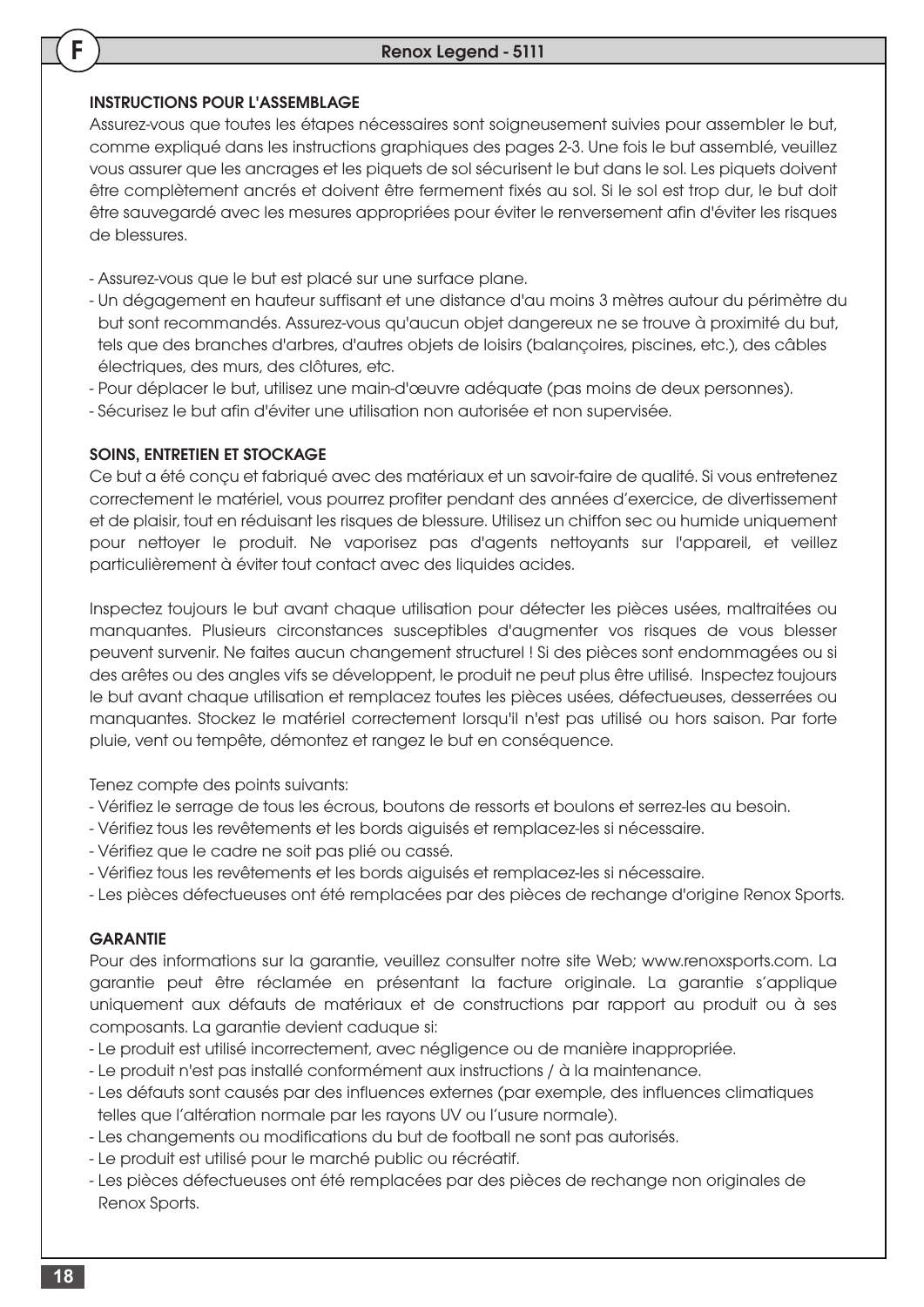#### INSTRUCTIONS POUR L'ASSEMBLAGE

F

Assurez-vous que toutes les étapes nécessaires sont soigneusement suivies pour assembler le but, comme expliqué dans les instructions graphiques des pages 2-3. Une fois le but assemblé, veuillez vous assurer que les ancrages et les piquets de sol sécurisent le but dans le sol. Les piquets doivent être complètement ancrés et doivent être fermement fixés au sol. Si le sol est trop dur, le but doit être sauvegardé avec les mesures appropriées pour éviter le renversement afin d'éviter les risques de blessures.

- Assurez-vous que le but est placé sur une surface plane.
- Un dégagement en hauteur suffisant et une distance d'au moins 3 mètres autour du périmètre du but sont recommandés. Assurez-vous qu'aucun objet dangereux ne se trouve à proximité du but, tels que des branches d'arbres, d'autres objets de loisirs (balançoires, piscines, etc.), des câbles électriques, des murs, des clôtures, etc.
- Pour déplacer le but, utilisez une main-d'œuvre adéquate (pas moins de deux personnes).
- Sécurisez le but afin d'éviter une utilisation non autorisée et non supervisée.

#### SOINS, ENTRETIEN ET STOCKAGE

Ce but a été conçu et fabriqué avec des matériaux et un savoir-faire de qualité. Si vous entretenez correctement le matériel, vous pourrez profiter pendant des années d'exercice, de divertissement et de plaisir, tout en réduisant les risques de blessure. Utilisez un chiffon sec ou humide uniquement pour nettoyer le produit. Ne vaporisez pas d'agents nettoyants sur l'appareil, et veillez particulièrement à éviter tout contact avec des liquides acides.

Inspectez toujours le but avant chaque utilisation pour détecter les pièces usées, maltraitées ou manquantes. Plusieurs circonstances susceptibles d'augmenter vos risques de vous blesser peuvent survenir. Ne faites aucun changement structurel ! Si des pièces sont endommagées ou si des arêtes ou des angles vifs se développent, le produit ne peut plus être utilisé. Inspectez toujours le but avant chaque utilisation et remplacez toutes les pièces usées, défectueuses, desserrées ou manquantes. Stockez le matériel correctement lorsqu'il n'est pas utilisé ou hors saison. Par forte pluie, vent ou tempête, démontez et rangez le but en conséquence.

Tenez compte des points suivants:

- Vérifiez le serrage de tous les écrous, boutons de ressorts et boulons et serrez-les au besoin.
- Vérifiez tous les revêtements et les bords aiguisés et remplacez-les si nécessaire.
- Vérifiez que le cadre ne soit pas plié ou cassé.
- Vérifiez tous les revêtements et les bords aiguisés et remplacez-les si nécessaire.
- Les pièces défectueuses ont été remplacées par des pièces de rechange d'origine Renox Sports.

#### **GARANTIE**

Pour des informations sur la garantie, veuillez consulter notre site Web; www.renoxsports.com. La garantie peut être réclamée en présentant la facture originale. La garantie s'applique uniquement aux défauts de matériaux et de constructions par rapport au produit ou à ses composants. La garantie devient caduque si:

- Le produit est utilisé incorrectement, avec négligence ou de manière inappropriée.
- Le produit n'est pas installé conformément aux instructions / à la maintenance.
- Les défauts sont causés par des influences externes (par exemple, des influences climatiques telles que l'altération normale par les rayons UV ou l'usure normale).
- Les changements ou modifications du but de football ne sont pas autorisés.
- Le produit est utilisé pour le marché public ou récréatif.
- Les pièces défectueuses ont été remplacées par des pièces de rechange non originales de Renox Sports.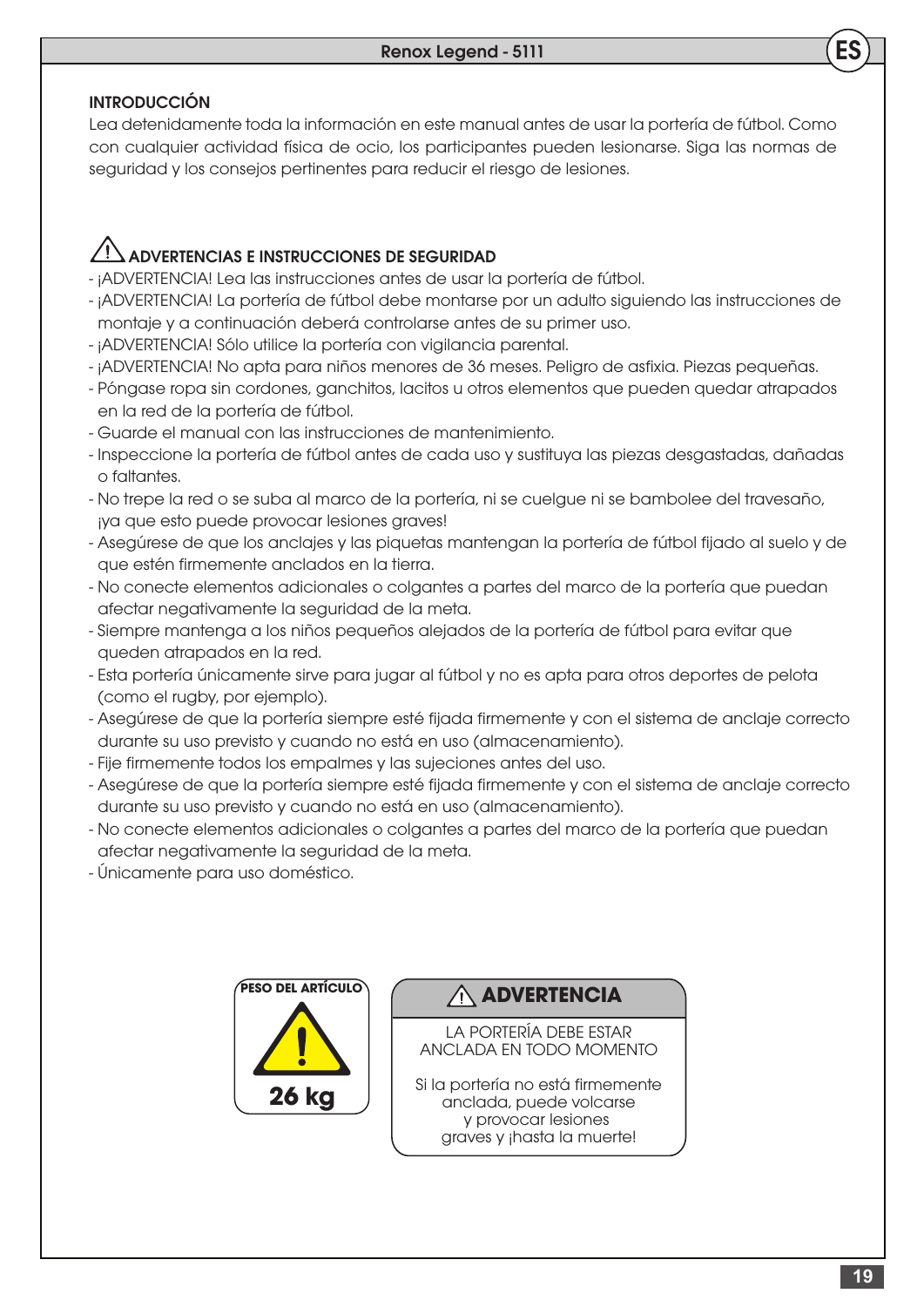### INTRODUCCIÓN

Lea detenidamente toda la información en este manual antes de usar la portería de fútbol. Como con cualquier actividad física de ocio, los participantes pueden lesionarse. Siga las normas de seguridad y los consejos pertinentes para reducir el riesgo de lesiones.

## ADVERTENCIAS E INSTRUCCIONES DE SEGURIDAD

- ¡ADVERTENCIA! Lea las instrucciones antes de usar la portería de fútbol.
- ¡ADVERTENCIA! La portería de fútbol debe montarse por un adulto siguiendo las instrucciones de montaje y a continuación deberá controlarse antes de su primer uso.
- ¡ADVERTENCIA! Sólo utilice la portería con vigilancia parental.
- ¡ADVERTENCIA! No apta para niños menores de 36 meses. Peligro de asfixia. Piezas pequeñas.
- Póngase ropa sin cordones, ganchitos, lacitos u otros elementos que pueden quedar atrapados en la red de la portería de fútbol.
- Guarde el manual con las instrucciones de mantenimiento.
- Inspeccione la portería de fútbol antes de cada uso y sustituya las piezas desgastadas, dañadas o faltantes.
- No trepe la red o se suba al marco de la portería, ni se cuelgue ni se bambolee del travesaño, ¡ya que esto puede provocar lesiones graves!
- Asegúrese de que los anclajes y las piquetas mantengan la portería de fútbol fijado al suelo y de que estén firmemente anclados en la tierra.
- No conecte elementos adicionales o colgantes a partes del marco de la portería que puedan afectar negativamente la seguridad de la meta.
- Siempre mantenga a los niños pequeños alejados de la portería de fútbol para evitar que queden atrapados en la red.
- Esta portería únicamente sirve para jugar al fútbol y no es apta para otros deportes de pelota (como el rugby, por ejemplo).
- Asegúrese de que la portería siempre esté fijada firmemente y con el sistema de anclaje correcto durante su uso previsto y cuando no está en uso (almacenamiento).
- Fije firmemente todos los empalmes y las sujeciones antes del uso.
- Asegúrese de que la portería siempre esté fijada firmemente y con el sistema de anclaje correcto durante su uso previsto y cuando no está en uso (almacenamiento).
- No conecte elementos adicionales o colgantes a partes del marco de la portería que puedan afectar negativamente la seguridad de la meta.
- Únicamente para uso doméstico.



# PESO DEL ARTÍCULO **ADVERTENCIA**

LA PORTERÍA DEBE ESTAR ANCLADA EN TODO MOMENTO

Si la portería no está firmemente anclada, puede volcarse y provocar lesiones graves y ¡hasta la muerte!

ES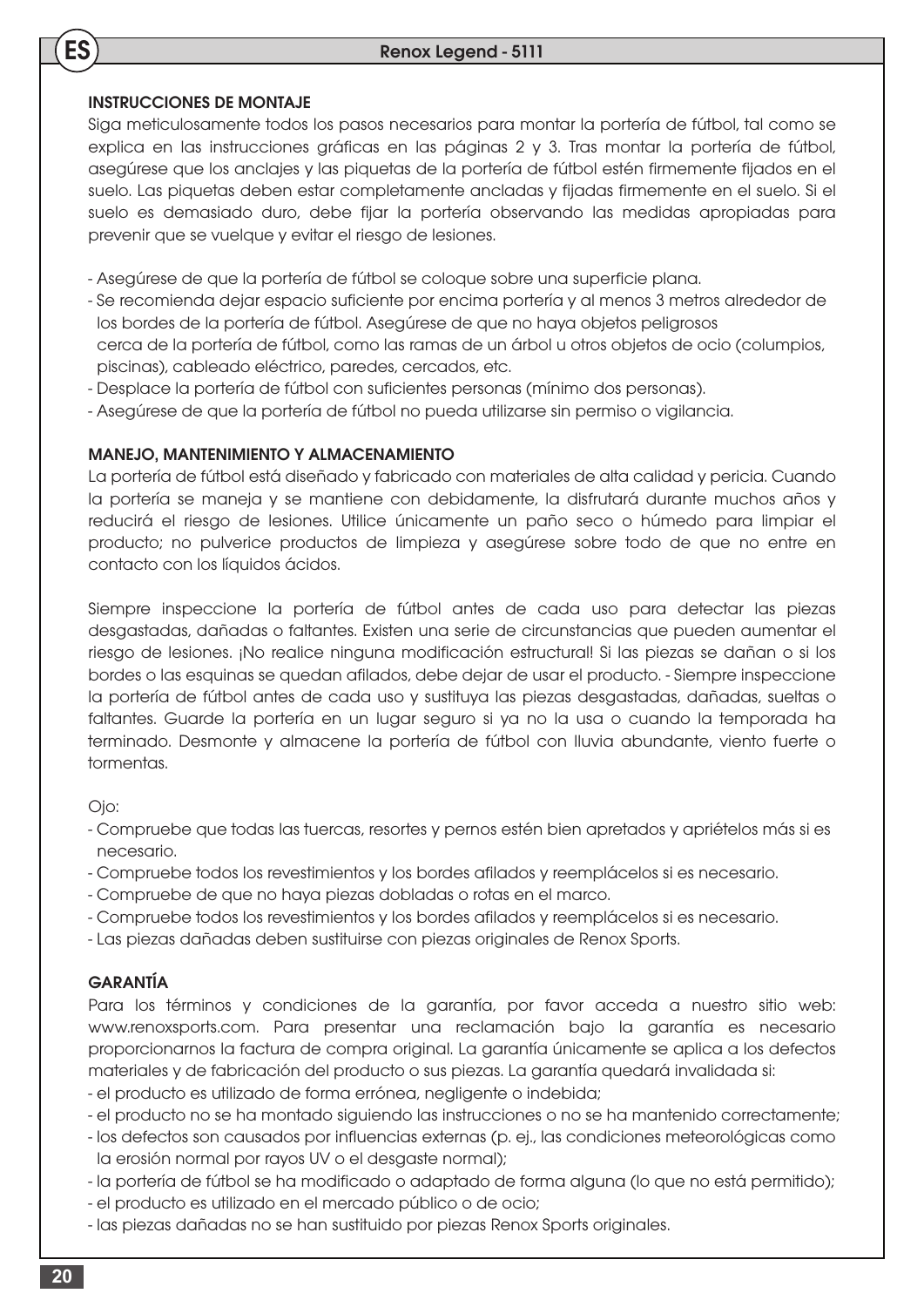#### INSTRUCCIONES DE MONTAJE

ES

Siga meticulosamente todos los pasos necesarios para montar la portería de fútbol, tal como se explica en las instrucciones gráficas en las páginas 2 y 3. Tras montar la portería de fútbol, asegúrese que los anclajes y las piquetas de la portería de fútbol estén firmemente fijados en el suelo. Las piquetas deben estar completamente ancladas y fijadas firmemente en el suelo. Si el suelo es demasiado duro, debe fijar la portería observando las medidas apropiadas para prevenir que se vuelque y evitar el riesgo de lesiones.

- Asegúrese de que la portería de fútbol se coloque sobre una superficie plana.
- Se recomienda dejar espacio suficiente por encima portería y al menos 3 metros alrededor de los bordes de la portería de fútbol. Asegúrese de que no haya objetos peligrosos cerca de la portería de fútbol, como las ramas de un árbol u otros objetos de ocio (columpios, piscinas), cableado eléctrico, paredes, cercados, etc.
- Desplace la portería de fútbol con suficientes personas (mínimo dos personas).
- Asegúrese de que la portería de fútbol no pueda utilizarse sin permiso o vigilancia.

#### MANEJO, MANTENIMIENTO Y ALMACENAMIENTO

La portería de fútbol está diseñado y fabricado con materiales de alta calidad y pericia. Cuando la portería se maneja y se mantiene con debidamente, la disfrutará durante muchos años y reducirá el riesgo de lesiones. Utilice únicamente un paño seco o húmedo para limpiar el producto; no pulverice productos de limpieza y asegúrese sobre todo de que no entre en contacto con los líquidos ácidos.

Siempre inspeccione la portería de fútbol antes de cada uso para detectar las piezas desgastadas, dañadas o faltantes. Existen una serie de circunstancias que pueden aumentar el riesgo de lesiones. ¡No realice ninguna modificación estructural! Si las piezas se dañan o si los bordes o las esquinas se quedan afilados, debe dejar de usar el producto. - Siempre inspeccione la portería de fútbol antes de cada uso y sustituya las piezas desgastadas, dañadas, sueltas o faltantes. Guarde la portería en un lugar seguro si ya no la usa o cuando la temporada ha terminado. Desmonte y almacene la portería de fútbol con lluvia abundante, viento fuerte o tormentas.

Ojo:

- Compruebe que todas las tuercas, resortes y pernos estén bien apretados y apriételos más si es necesario.
- Compruebe todos los revestimientos y los bordes afilados y reemplácelos si es necesario.
- Compruebe de que no haya piezas dobladas o rotas en el marco.
- Compruebe todos los revestimientos y los bordes afilados y reemplácelos si es necesario.
- Las piezas dañadas deben sustituirse con piezas originales de Renox Sports.

#### GARANTÍA

Para los términos y condiciones de la garantía, por favor acceda a nuestro sitio web: www.renoxsports.com. Para presentar una reclamación bajo la garantía es necesario proporcionarnos la factura de compra original. La garantía únicamente se aplica a los defectos materiales y de fabricación del producto o sus piezas. La garantía quedará invalidada si:

- el producto es utilizado de forma errónea, negligente o indebida;
- el producto no se ha montado siguiendo las instrucciones o no se ha mantenido correctamente;
- los defectos son causados por influencias externas (p. ej., las condiciones meteorológicas como la erosión normal por rayos UV o el desgaste normal);
- la portería de fútbol se ha modificado o adaptado de forma alguna (lo que no está permitido);
- el producto es utilizado en el mercado público o de ocio;
- las piezas dañadas no se han sustituido por piezas Renox Sports originales.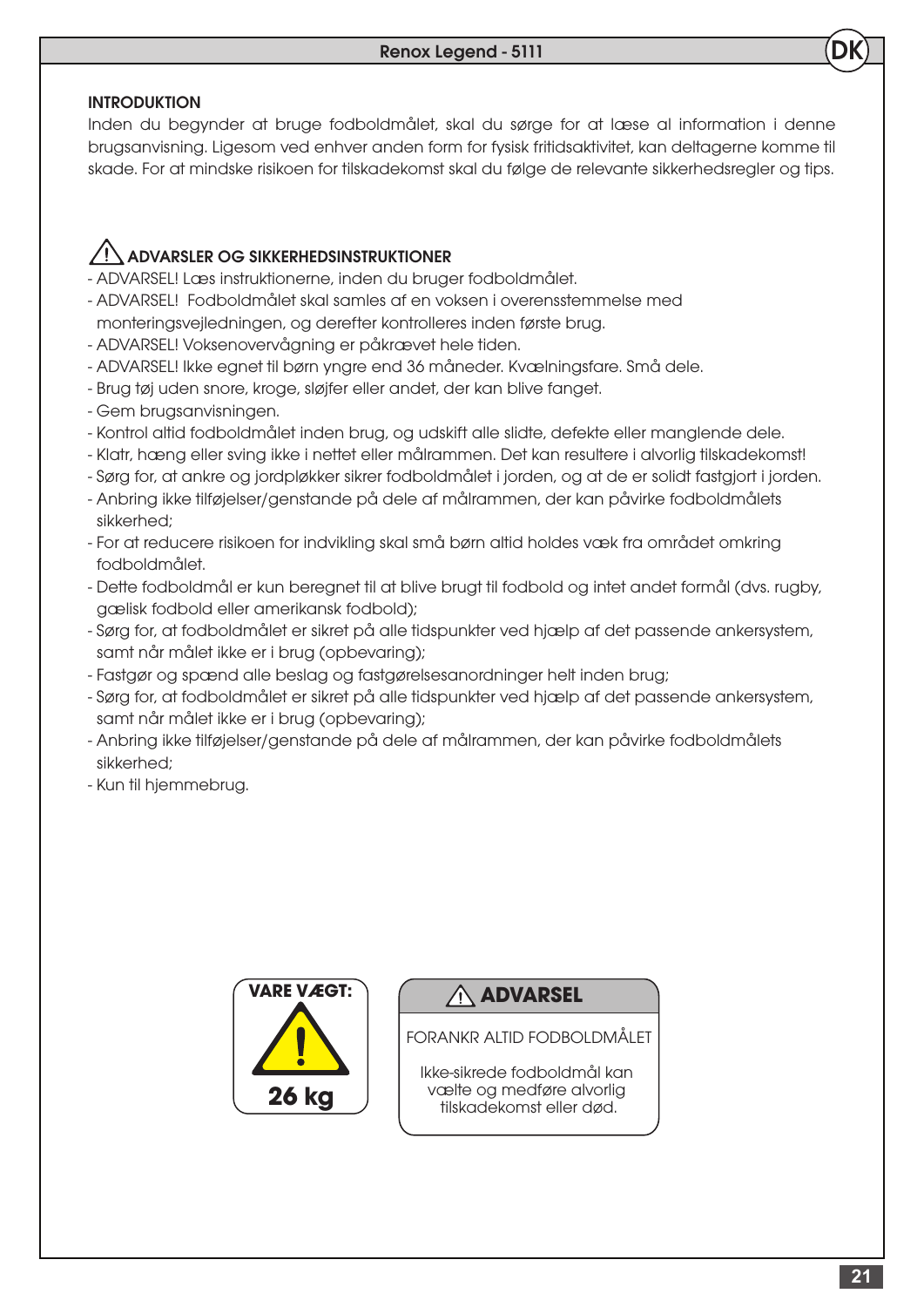#### INTRODUKTION

Inden du begynder at bruge fodboldmålet, skal du sørge for at læse al information i denne brugsanvisning. Ligesom ved enhver anden form for fysisk fritidsaktivitet, kan deltagerne komme til skade. For at mindske risikoen for tilskadekomst skal du følge de relevante sikkerhedsregler og tips.

## ADVARSLER OG SIKKERHEDSINSTRUKTIONER

- ADVARSEL! Læs instruktionerne, inden du bruger fodboldmålet.
- ADVARSEL! Fodboldmålet skal samles af en voksen i overensstemmelse med monteringsvejledningen, og derefter kontrolleres inden første brug.
- ADVARSEL! Voksenovervågning er påkrævet hele tiden.
- ADVARSEL! Ikke egnet til børn yngre end 36 måneder. Kvælningsfare. Små dele.
- Brug tøj uden snore, kroge, sløjfer eller andet, der kan blive fanget.
- Gem brugsanvisningen.
- Kontrol altid fodboldmålet inden brug, og udskift alle slidte, defekte eller manglende dele.
- Klatr, hæng eller sving ikke i nettet eller målrammen. Det kan resultere i alvorlig tilskadekomst!
- Sørg for, at ankre og jordpløkker sikrer fodboldmålet i jorden, og at de er solidt fastgjort i jorden.
- Anbring ikke tilføjelser/genstande på dele af målrammen, der kan påvirke fodboldmålets sikkerhed;
- For at reducere risikoen for indvikling skal små børn altid holdes væk fra området omkring fodboldmålet.
- Dette fodboldmål er kun beregnet til at blive brugt til fodbold og intet andet formål (dvs. rugby, gælisk fodbold eller amerikansk fodbold);
- Sørg for, at fodboldmålet er sikret på alle tidspunkter ved hjælp af det passende ankersystem, samt når målet ikke er i brug (opbevaring);
- Fastgør og spænd alle beslag og fastgørelsesanordninger helt inden brug;
- Sørg for, at fodboldmålet er sikret på alle tidspunkter ved hjælp af det passende ankersystem, samt når målet ikke er i brug (opbevaring);
- Anbring ikke tilføjelser/genstande på dele af målrammen, der kan påvirke fodboldmålets sikkerhed;
- Kun til hjemmebrug.



## **VARE VÆGT:**  $\wedge$  **ADVARSEL**

FORANKR ALTID FODBOLDMÅLET

Ikke-sikrede fodboldmål kan vælte og medføre alvorlig tilskadekomst eller død.

**DK**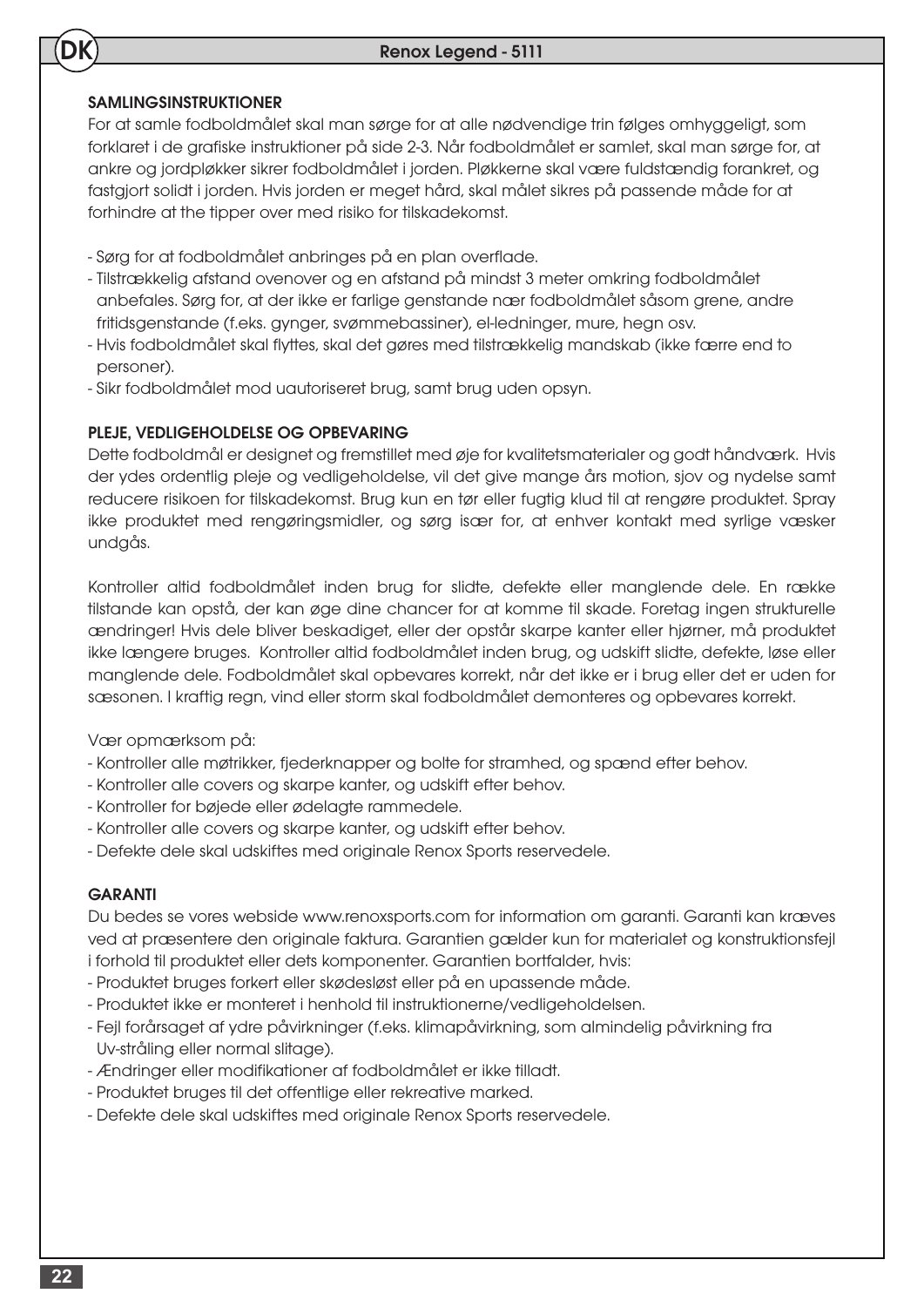#### SAMLINGSINSTRUKTIONER

DK

For at samle fodboldmålet skal man sørge for at alle nødvendige trin følges omhyggeligt, som forklaret i de grafiske instruktioner på side 2-3. Når fodboldmålet er samlet, skal man sørge for, at ankre og jordpløkker sikrer fodboldmålet i jorden. Pløkkerne skal være fuldstændig forankret, og fastgjort solidt i jorden. Hvis jorden er meget hård, skal målet sikres på passende måde for at forhindre at the tipper over med risiko for tilskadekomst.

- Sørg for at fodboldmålet anbringes på en plan overflade.
- Tilstrækkelig afstand ovenover og en afstand på mindst 3 meter omkring fodboldmålet anbefales. Sørg for, at der ikke er farlige genstande nær fodboldmålet såsom grene, andre fritidsgenstande (f.eks. gynger, svømmebassiner), el-ledninger, mure, hegn osv.
- Hvis fodboldmålet skal flyttes, skal det gøres med tilstrækkelig mandskab (ikke færre end to personer).
- Sikr fodboldmålet mod uautoriseret brug, samt brug uden opsyn.

#### PLEJE, VEDLIGEHOLDELSE OG OPBEVARING

Dette fodboldmål er designet og fremstillet med øje for kvalitetsmaterialer og godt håndværk. Hvis der ydes ordentlig pleje og vedligeholdelse, vil det give mange års motion, sjov og nydelse samt reducere risikoen for tilskadekomst. Brug kun en tør eller fugtig klud til at rengøre produktet. Spray ikke produktet med rengøringsmidler, og sørg især for, at enhver kontakt med syrlige væsker undgås.

Kontroller altid fodboldmålet inden brug for slidte, defekte eller manglende dele. En række tilstande kan opstå, der kan øge dine chancer for at komme til skade. Foretag ingen strukturelle ændringer! Hvis dele bliver beskadiget, eller der opstår skarpe kanter eller hjørner, må produktet ikke længere bruges. Kontroller altid fodboldmålet inden brug, og udskift slidte, defekte, løse eller manglende dele. Fodboldmålet skal opbevares korrekt, når det ikke er i brug eller det er uden for sæsonen. I kraftig regn, vind eller storm skal fodboldmålet demonteres og opbevares korrekt.

Vær opmærksom på:

- Kontroller alle møtrikker, fjederknapper og bolte for stramhed, og spænd efter behov.
- Kontroller alle covers og skarpe kanter, og udskift efter behov.
- Kontroller for bøjede eller ødelagte rammedele.
- Kontroller alle covers og skarpe kanter, og udskift efter behov.
- Defekte dele skal udskiftes med originale Renox Sports reservedele.

#### GARANTI

Du bedes se vores webside www.renoxsports.com for information om garanti. Garanti kan kræves ved at præsentere den originale faktura. Garantien gælder kun for materialet og konstruktionsfejl i forhold til produktet eller dets komponenter. Garantien bortfalder, hvis:

- Produktet bruges forkert eller skødesløst eller på en upassende måde.
- Produktet ikke er monteret i henhold til instruktionerne/vedligeholdelsen.
- Fejl forårsaget af ydre påvirkninger (f.eks. klimapåvirkning, som almindelig påvirkning fra Uv-stråling eller normal slitage).
- Ændringer eller modifikationer af fodboldmålet er ikke tilladt.
- Produktet bruges til det offentlige eller rekreative marked.
- Defekte dele skal udskiftes med originale Renox Sports reservedele.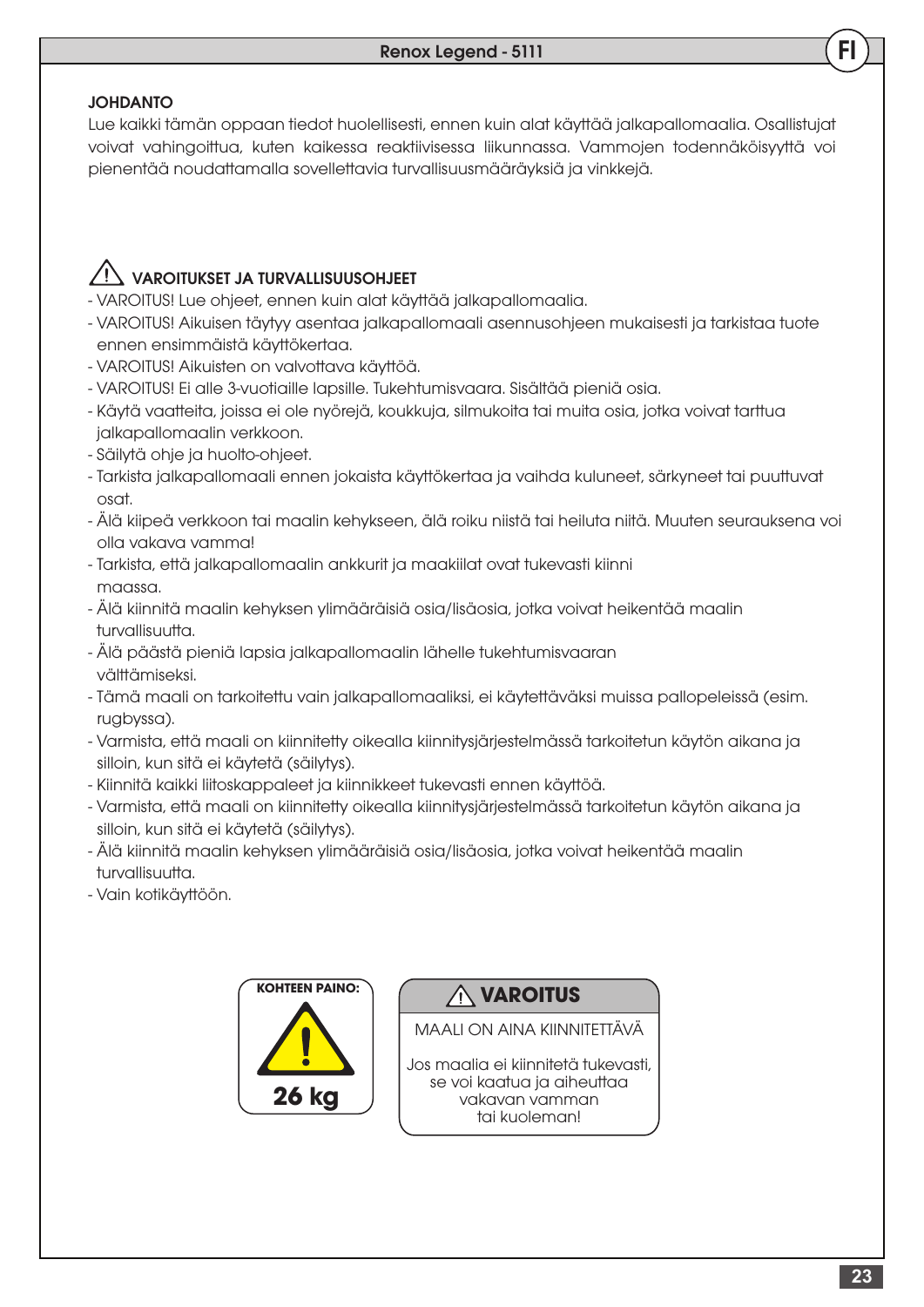#### JOHDANTO

Lue kaikki tämän oppaan tiedot huolellisesti, ennen kuin alat käyttää jalkapallomaalia. Osallistujat voivat vahingoittua, kuten kaikessa reaktiivisessa liikunnassa. Vammojen todennäköisyyttä voi pienentää noudattamalla sovellettavia turvallisuusmääräyksiä ja vinkkejä.

## $\angle$ ! varoitukset ja turvallisuusohjeet

- VAROITUS! Lue ohjeet, ennen kuin alat käyttää jalkapallomaalia.

- VAROITUS! Aikuisen täytyy asentaa jalkapallomaali asennusohjeen mukaisesti ja tarkistaa tuote ennen ensimmäistä käyttökertaa.
- VAROITUS! Aikuisten on valvottava käyttöä.
- VAROITUS! Ei alle 3-vuotiaille lapsille. Tukehtumisvaara. Sisältää pieniä osia.
- Käytä vaatteita, joissa ei ole nyörejä, koukkuja, silmukoita tai muita osia, jotka voivat tarttua jalkapallomaalin verkkoon.
- Säilytä ohje ja huolto-ohjeet.
- Tarkista jalkapallomaali ennen jokaista käyttökertaa ja vaihda kuluneet, särkyneet tai puuttuvat osat.
- Älä kiipeä verkkoon tai maalin kehykseen, älä roiku niistä tai heiluta niitä. Muuten seurauksena voi olla vakava vamma!
- Tarkista, että jalkapallomaalin ankkurit ja maakiilat ovat tukevasti kiinni maassa.
- Älä kiinnitä maalin kehyksen ylimääräisiä osia/lisäosia, jotka voivat heikentää maalin turvallisuutta.
- Älä päästä pieniä lapsia jalkapallomaalin lähelle tukehtumisvaaran välttämiseksi.
- Tämä maali on tarkoitettu vain jalkapallomaaliksi, ei käytettäväksi muissa pallopeleissä (esim. rugbyssa).
- Varmista, että maali on kiinnitetty oikealla kiinnitysjärjestelmässä tarkoitetun käytön aikana ja silloin, kun sitä ei käytetä (säilytys).
- Kiinnitä kaikki liitoskappaleet ja kiinnikkeet tukevasti ennen käyttöä.
- Varmista, että maali on kiinnitetty oikealla kiinnitysjärjestelmässä tarkoitetun käytön aikana ja silloin, kun sitä ei käytetä (säilytys).
- Älä kiinnitä maalin kehyksen ylimääräisiä osia/lisäosia, jotka voivat heikentää maalin turvallisuutta.
- Vain kotikäyttöön.



**VAROITUS**

MAALI ON AINA KIINNITETTÄVÄ

Jos maalia ei kiinnitetä tukevasti, se voi kaatua ja aiheuttaa vakavan vamman tai kuoleman!

FI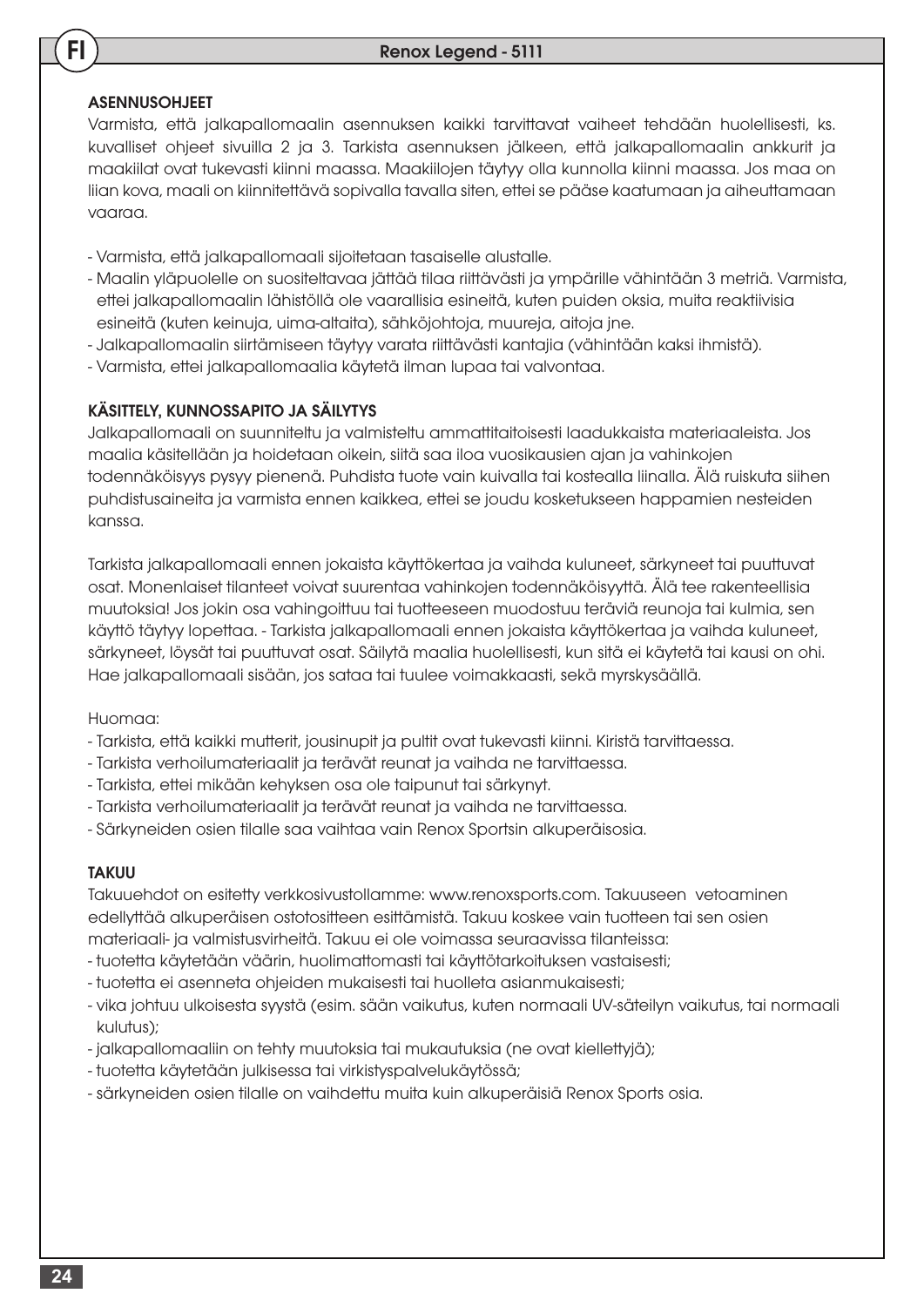#### **ASENNUSOHJEET**

FI

Varmista, että jalkapallomaalin asennuksen kaikki tarvittavat vaiheet tehdään huolellisesti, ks. kuvalliset ohjeet sivuilla 2 ja 3. Tarkista asennuksen jälkeen, että jalkapallomaalin ankkurit ja maakiilat ovat tukevasti kiinni maassa. Maakiilojen täytyy olla kunnolla kiinni maassa. Jos maa on liian kova, maali on kiinnitettävä sopivalla tavalla siten, ettei se pääse kaatumaan ja aiheuttamaan vaaraa.

- Varmista, että jalkapallomaali sijoitetaan tasaiselle alustalle.
- Maalin yläpuolelle on suositeltavaa jättää tilaa riittävästi ja ympärille vähintään 3 metriä. Varmista, ettei jalkapallomaalin lähistöllä ole vaarallisia esineitä, kuten puiden oksia, muita reaktiivisia esineitä (kuten keinuja, uima-altaita), sähköjohtoja, muureja, aitoja jne.
- Jalkapallomaalin siirtämiseen täytyy varata riittävästi kantajia (vähintään kaksi ihmistä).
- Varmista, ettei jalkapallomaalia käytetä ilman lupaa tai valvontaa.

#### KÄSITTELY, KUNNOSSAPITO JA SÄILYTYS

Jalkapallomaali on suunniteltu ja valmisteltu ammattitaitoisesti laadukkaista materiaaleista. Jos maalia käsitellään ja hoidetaan oikein, siitä saa iloa vuosikausien ajan ja vahinkojen todennäköisyys pysyy pienenä. Puhdista tuote vain kuivalla tai kostealla liinalla. Älä ruiskuta siihen puhdistusaineita ja varmista ennen kaikkea, ettei se joudu kosketukseen happamien nesteiden kanssa.

Tarkista jalkapallomaali ennen jokaista käyttökertaa ja vaihda kuluneet, särkyneet tai puuttuvat osat. Monenlaiset tilanteet voivat suurentaa vahinkojen todennäköisyyttä. Älä tee rakenteellisia muutoksia! Jos jokin osa vahingoittuu tai tuotteeseen muodostuu teräviä reunoja tai kulmia, sen käyttö täytyy lopettaa. - Tarkista jalkapallomaali ennen jokaista käyttökertaa ja vaihda kuluneet, särkyneet, löysät tai puuttuvat osat. Säilytä maalia huolellisesti, kun sitä ei käytetä tai kausi on ohi. Hae jalkapallomaali sisään, jos sataa tai tuulee voimakkaasti, sekä myrskysäällä.

#### Huomaa:

- Tarkista, että kaikki mutterit, jousinupit ja pultit ovat tukevasti kiinni. Kiristä tarvittaessa.
- Tarkista verhoilumateriaalit ja terävät reunat ja vaihda ne tarvittaessa.
- Tarkista, ettei mikään kehyksen osa ole taipunut tai särkynyt.
- Tarkista verhoilumateriaalit ja terävät reunat ja vaihda ne tarvittaessa.
- Särkyneiden osien tilalle saa vaihtaa vain Renox Sportsin alkuperäisosia.

### TAKUU

Takuuehdot on esitetty verkkosivustollamme: www.renoxsports.com. Takuuseen vetoaminen edellyttää alkuperäisen ostotositteen esittämistä. Takuu koskee vain tuotteen tai sen osien materiaali- ja valmistusvirheitä. Takuu ei ole voimassa seuraavissa tilanteissa:

- tuotetta käytetään väärin, huolimattomasti tai käyttötarkoituksen vastaisesti;
- tuotetta ei asenneta ohjeiden mukaisesti tai huolleta asianmukaisesti;
- vika johtuu ulkoisesta syystä (esim. sään vaikutus, kuten normaali UV-säteilyn vaikutus, tai normaali kulutus);
- jalkapallomaaliin on tehty muutoksia tai mukautuksia (ne ovat kiellettyjä);
- tuotetta käytetään julkisessa tai virkistyspalvelukäytössä;
- särkyneiden osien tilalle on vaihdettu muita kuin alkuperäisiä Renox Sports osia.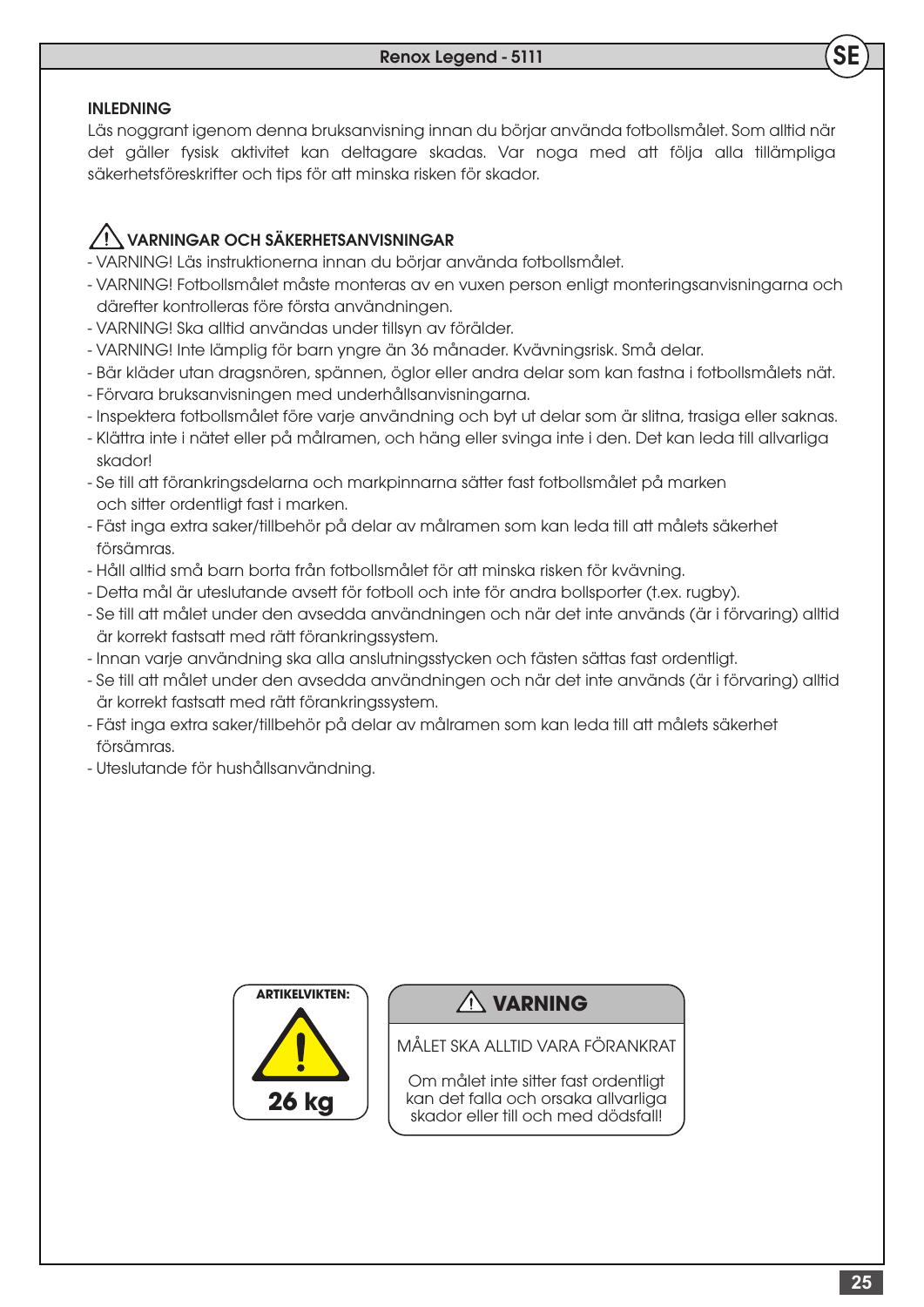#### INLEDNING

Läs noggrant igenom denna bruksanvisning innan du börjar använda fotbollsmålet. Som alltid när det gäller fysisk aktivitet kan deltagare skadas. Var noga med att följa alla tillämpliga säkerhetsföreskrifter och tips för att minska risken för skador.

## /!\ VARNINGAR OCH SÄKERHETSANVISNINGAR

- VARNING! Läs instruktionerna innan du börjar använda fotbollsmålet.
- VARNING! Fotbollsmålet måste monteras av en vuxen person enligt monteringsanvisningarna och därefter kontrolleras före första användningen.
- VARNING! Ska alltid användas under tillsyn av förälder.
- VARNING! Inte lämplig för barn yngre än 36 månader. Kvävningsrisk. Små delar.
- Bär kläder utan dragsnören, spännen, öglor eller andra delar som kan fastna i fotbollsmålets nät.
- Förvara bruksanvisningen med underhållsanvisningarna.
- Inspektera fotbollsmålet före varje användning och byt ut delar som är slitna, trasiga eller saknas.
- Klättra inte i nätet eller på målramen, och häng eller svinga inte i den. Det kan leda till allvarliga skador!
- Se till att förankringsdelarna och markpinnarna sätter fast fotbollsmålet på marken och sitter ordentligt fast i marken.
- Fäst inga extra saker/tillbehör på delar av målramen som kan leda till att målets säkerhet försämras.
- Håll alltid små barn borta från fotbollsmålet för att minska risken för kvävning.
- Detta mål är uteslutande avsett för fotboll och inte för andra bollsporter (t.ex. rugby).
- Se till att målet under den avsedda användningen och när det inte används (är i förvaring) alltid är korrekt fastsatt med rätt förankringssystem.
- Innan varje användning ska alla anslutningsstycken och fästen sättas fast ordentligt.
- Se till att målet under den avsedda användningen och när det inte används (är i förvaring) alltid är korrekt fastsatt med rätt förankringssystem.
- Fäst inga extra saker/tillbehör på delar av målramen som kan leda till att målets säkerhet försämras.
- Uteslutande för hushållsanvändning.



MÅLET SKA ALLTID VARA FÖRANKRAT

Om målet inte sitter fast ordentligt kan det falla och orsaka allvarliga skador eller till och med dödsfall!

SE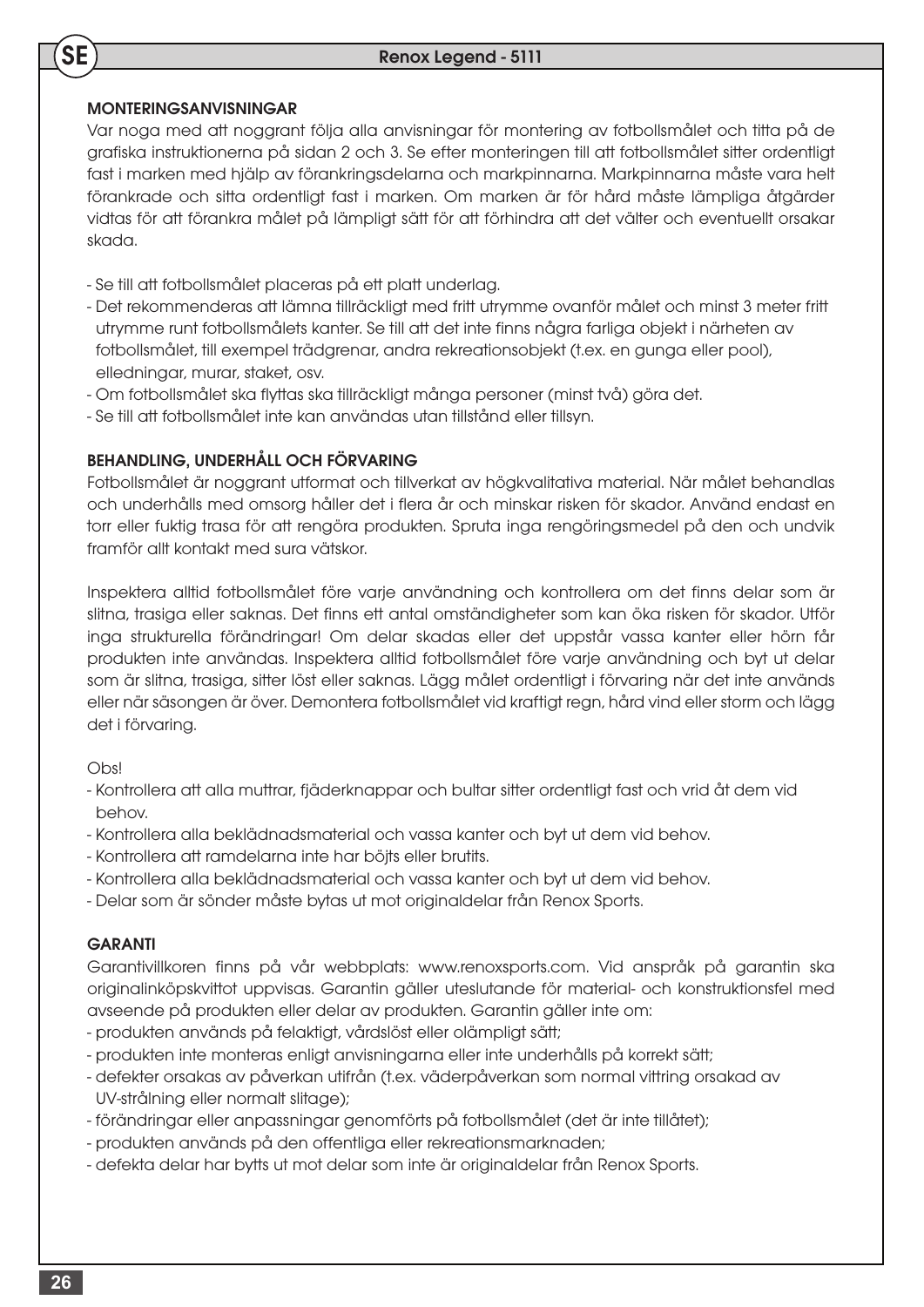#### MONTERINGSANVISNINGAR

SE

Var noga med att noggrant följa alla anvisningar för montering av fotbollsmålet och titta på de grafiska instruktionerna på sidan 2 och 3. Se efter monteringen till att fotbollsmålet sitter ordentligt fast i marken med hjälp av förankringsdelarna och markpinnarna. Markpinnarna måste vara helt förankrade och sitta ordentligt fast i marken. Om marken är för hård måste lämpliga åtgärder vidtas för att förankra målet på lämpligt sätt för att förhindra att det välter och eventuellt orsakar skada.

- Se till att fotbollsmålet placeras på ett platt underlag.
- Det rekommenderas att lämna tillräckligt med fritt utrymme ovanför målet och minst 3 meter fritt utrymme runt fotbollsmålets kanter. Se till att det inte finns några farliga objekt i närheten av fotbollsmålet, till exempel trädgrenar, andra rekreationsobjekt (t.ex. en gunga eller pool), elledningar, murar, staket, osv.
- Om fotbollsmålet ska flyttas ska tillräckligt många personer (minst två) göra det.
- Se till att fotbollsmålet inte kan användas utan tillstånd eller tillsyn.

#### BEHANDLING, UNDERHÅLL OCH FÖRVARING

Fotbollsmålet är noggrant utformat och tillverkat av högkvalitativa material. När målet behandlas och underhålls med omsorg håller det i flera år och minskar risken för skador. Använd endast en torr eller fuktig trasa för att rengöra produkten. Spruta inga rengöringsmedel på den och undvik framför allt kontakt med sura vätskor.

Inspektera alltid fotbollsmålet före varje användning och kontrollera om det finns delar som är slitna, trasiga eller saknas. Det finns ett antal omständigheter som kan öka risken för skador. Utför inga strukturella förändringar! Om delar skadas eller det uppstår vassa kanter eller hörn får produkten inte användas. Inspektera alltid fotbollsmålet före varje användning och byt ut delar som är slitna, trasiga, sitter löst eller saknas. Lägg målet ordentligt i förvaring när det inte används eller när säsongen är över. Demontera fotbollsmålet vid kraftigt regn, hård vind eller storm och lägg det i förvaring.

#### Obs!

- Kontrollera att alla muttrar, fjäderknappar och bultar sitter ordentligt fast och vrid åt dem vid behov.
- Kontrollera alla beklädnadsmaterial och vassa kanter och byt ut dem vid behov.
- Kontrollera att ramdelarna inte har böjts eller brutits.
- Kontrollera alla beklädnadsmaterial och vassa kanter och byt ut dem vid behov.
- Delar som är sönder måste bytas ut mot originaldelar från Renox Sports.

#### GARANTI

Garantivillkoren finns på vår webbplats: www.renoxsports.com. Vid anspråk på garantin ska originalinköpskvittot uppvisas. Garantin gäller uteslutande för material- och konstruktionsfel med avseende på produkten eller delar av produkten. Garantin gäller inte om:

- produkten används på felaktigt, vårdslöst eller olämpligt sätt;
- produkten inte monteras enligt anvisningarna eller inte underhålls på korrekt sätt;
- defekter orsakas av påverkan utifrån (t.ex. väderpåverkan som normal vittring orsakad av UV-strålning eller normalt slitage);
- förändringar eller anpassningar genomförts på fotbollsmålet (det är inte tillåtet);
- produkten används på den offentliga eller rekreationsmarknaden;
- defekta delar har bytts ut mot delar som inte är originaldelar från Renox Sports.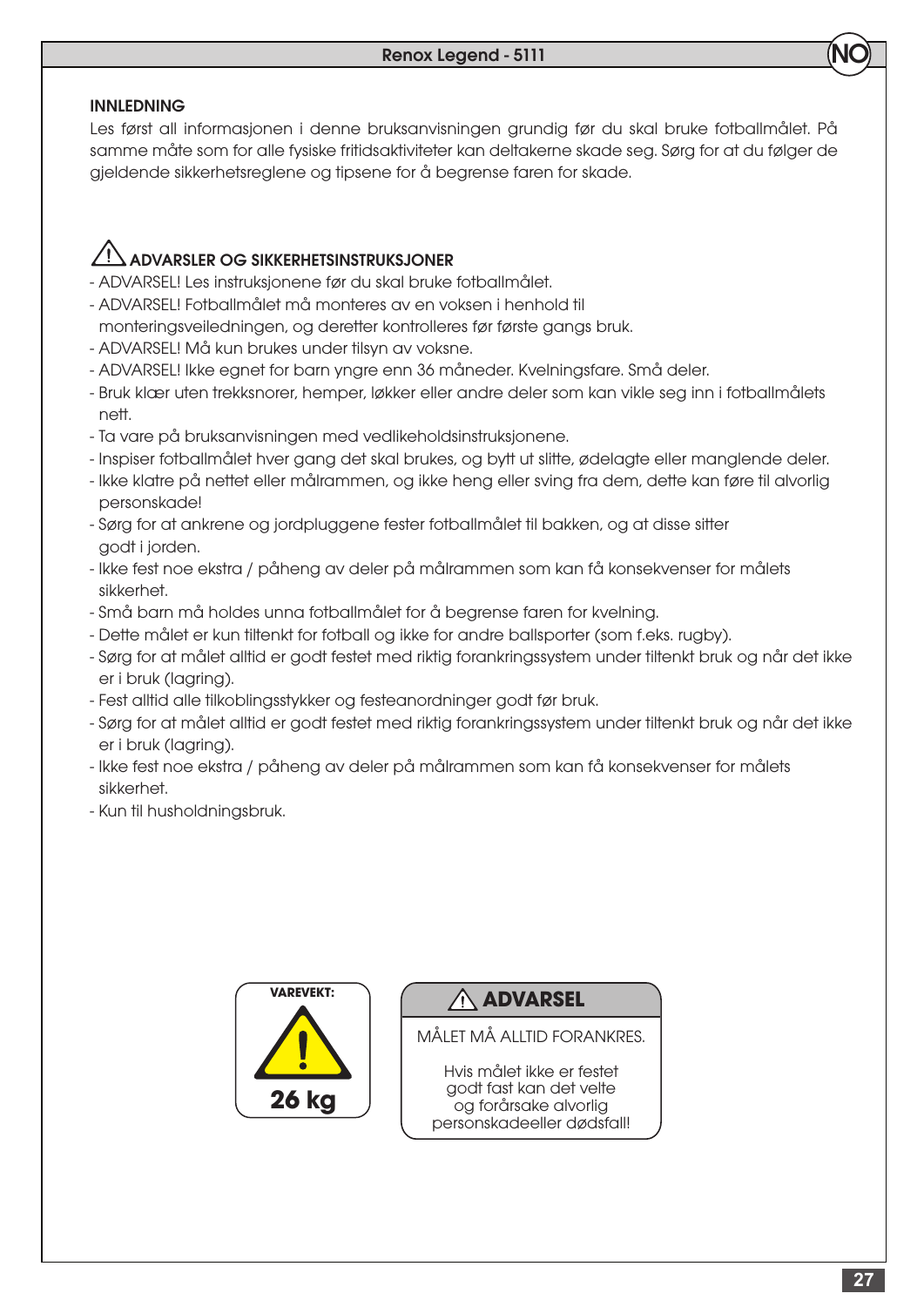#### INNLEDNING

Les først all informasjonen i denne bruksanvisningen grundig før du skal bruke fotballmålet. På samme måte som for alle fysiske fritidsaktiviteter kan deltakerne skade seg. Sørg for at du følger de gjeldende sikkerhetsreglene og tipsene for å begrense faren for skade.

# ADVARSLER OG SIKKERHETSINSTRUKSJONER

- ADVARSEL! Les instruksjonene før du skal bruke fotballmålet.
- ADVARSEL! Fotballmålet må monteres av en voksen i henhold til
- monteringsveiledningen, og deretter kontrolleres før første gangs bruk.
- ADVARSEL! Må kun brukes under tilsyn av voksne.
- ADVARSEL! Ikke egnet for barn yngre enn 36 måneder. Kvelningsfare. Små deler.
- Bruk klær uten trekksnorer, hemper, løkker eller andre deler som kan vikle seg inn i fotballmålets nett.
- Ta vare på bruksanvisningen med vedlikeholdsinstruksjonene.
- Inspiser fotballmålet hver gang det skal brukes, og bytt ut slitte, ødelagte eller manglende deler.
- Ikke klatre på nettet eller målrammen, og ikke heng eller sving fra dem, dette kan føre til alvorlig personskade!
- Sørg for at ankrene og jordpluggene fester fotballmålet til bakken, og at disse sitter godt i jorden.
- Ikke fest noe ekstra / påheng av deler på målrammen som kan få konsekvenser for målets sikkerhet.
- Små barn må holdes unna fotballmålet for å begrense faren for kvelning.
- Dette målet er kun tiltenkt for fotball og ikke for andre ballsporter (som f.eks. rugby).
- Sørg for at målet alltid er godt festet med riktig forankringssystem under tiltenkt bruk og når det ikke er i bruk (lagring).
- Fest alltid alle tilkoblingsstykker og festeanordninger godt før bruk.
- Sørg for at målet alltid er godt festet med riktig forankringssystem under tiltenkt bruk og når det ikke er i bruk (lagring).
- Ikke fest noe ekstra / påheng av deler på målrammen som kan få konsekvenser for målets sikkerhet.
- Kun til husholdningsbruk.



# **VAREVEKT: ADVARSEL**

MÅLET MÅ ALLTID FORANKRES.

Hvis målet ikke er festet godt fast kan det velte og forårsake alvorlig personskadeeller dødsfall! NO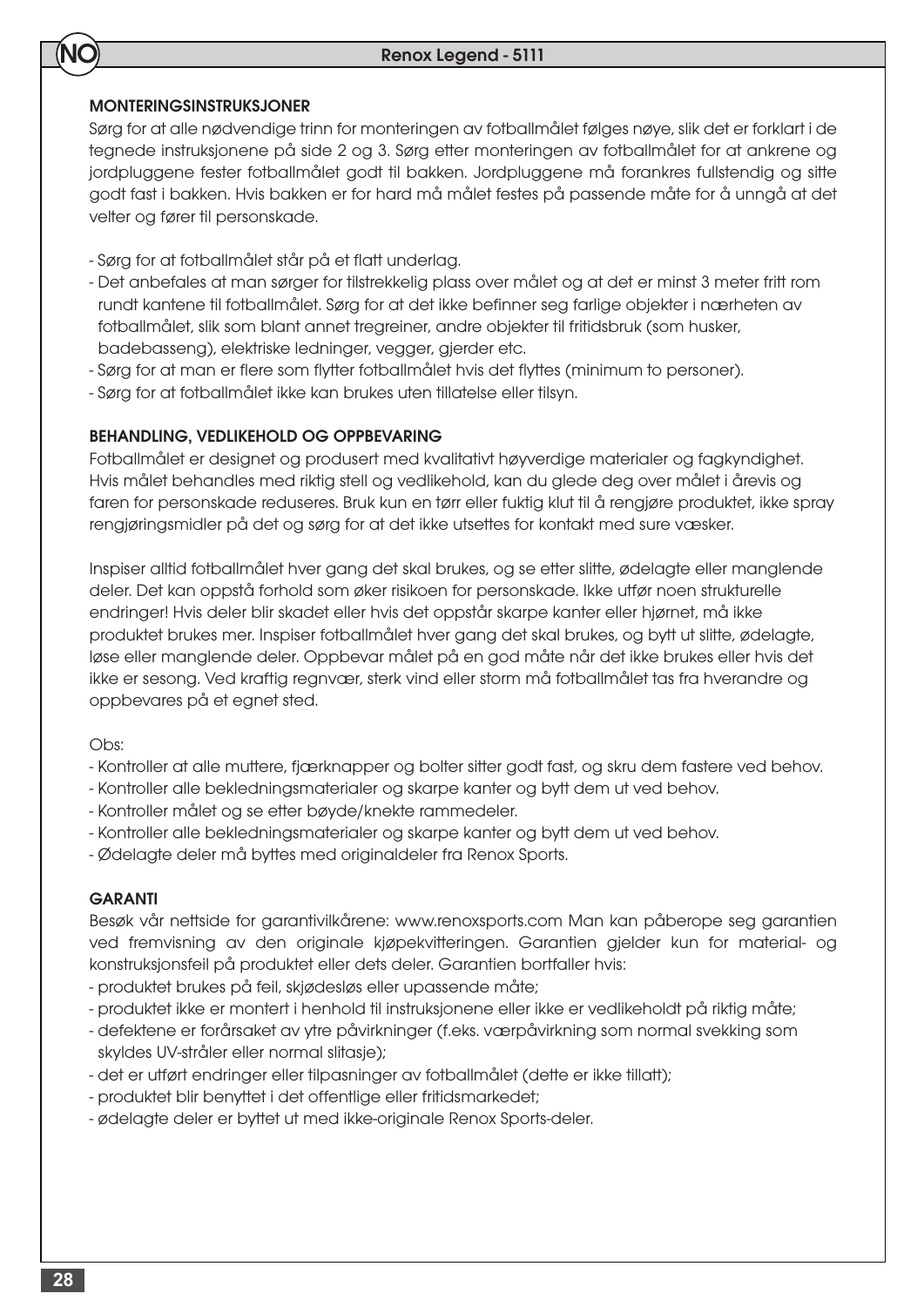#### MONTERINGSINSTRUKSJONER

NO

Sørg for at alle nødvendige trinn for monteringen av fotballmålet følges nøye, slik det er forklart i de tegnede instruksjonene på side 2 og 3. Sørg etter monteringen av fotballmålet for at ankrene og jordpluggene fester fotballmålet godt til bakken. Jordpluggene må forankres fullstendig og sitte godt fast i bakken. Hvis bakken er for hard må målet festes på passende måte for å unngå at det velter og fører til personskade.

- Sørg for at fotballmålet står på et flatt underlag.
- Det anbefales at man sørger for tilstrekkelig plass over målet og at det er minst 3 meter fritt rom rundt kantene til fotballmålet. Sørg for at det ikke befinner seg farlige objekter i nærheten av fotballmålet, slik som blant annet tregreiner, andre objekter til fritidsbruk (som husker, badebasseng), elektriske ledninger, vegger, gjerder etc.
- Sørg for at man er flere som flytter fotballmålet hvis det flyttes (minimum to personer).
- Sørg for at fotballmålet ikke kan brukes uten tillatelse eller tilsyn.

#### BEHANDLING, VEDLIKEHOLD OG OPPBEVARING

Fotballmålet er designet og produsert med kvalitativt høyverdige materialer og fagkyndighet. Hvis målet behandles med riktig stell og vedlikehold, kan du glede deg over målet i årevis og faren for personskade reduseres. Bruk kun en tørr eller fuktig klut til å rengjøre produktet, ikke spray rengjøringsmidler på det og sørg for at det ikke utsettes for kontakt med sure væsker.

Inspiser alltid fotballmålet hver gang det skal brukes, og se etter slitte, ødelagte eller manglende deler. Det kan oppstå forhold som øker risikoen for personskade. Ikke utfør noen strukturelle endringer! Hvis deler blir skadet eller hvis det oppstår skarpe kanter eller hjørnet, må ikke produktet brukes mer. Inspiser fotballmålet hver gang det skal brukes, og bytt ut slitte, ødelagte, løse eller manglende deler. Oppbevar målet på en god måte når det ikke brukes eller hvis det ikke er sesong. Ved kraftig regnvær, sterk vind eller storm må fotballmålet tas fra hverandre og oppbevares på et egnet sted.

Obs:

- Kontroller at alle muttere, fjærknapper og bolter sitter godt fast, og skru dem fastere ved behov.
- Kontroller alle bekledningsmaterialer og skarpe kanter og bytt dem ut ved behov.
- Kontroller målet og se etter bøyde/knekte rammedeler.
- Kontroller alle bekledningsmaterialer og skarpe kanter og bytt dem ut ved behov.
- Ødelagte deler må byttes med originaldeler fra Renox Sports.

#### **GARANTI**

Besøk vår nettside for garantivilkårene: www.renoxsports.com Man kan påberope seg garantien ved fremvisning av den originale kjøpekvitteringen. Garantien gjelder kun for material- og konstruksjonsfeil på produktet eller dets deler. Garantien bortfaller hvis:

- produktet brukes på feil, skjødesløs eller upassende måte;
- produktet ikke er montert i henhold til instruksjonene eller ikke er vedlikeholdt på riktig måte;
- defektene er forårsaket av ytre påvirkninger (f.eks. værpåvirkning som normal svekking som skyldes UV-stråler eller normal slitasje);
- det er utført endringer eller tilpasninger av fotballmålet (dette er ikke tillatt);
- produktet blir benyttet i det offentlige eller fritidsmarkedet;
- ødelagte deler er byttet ut med ikke-originale Renox Sports-deler.